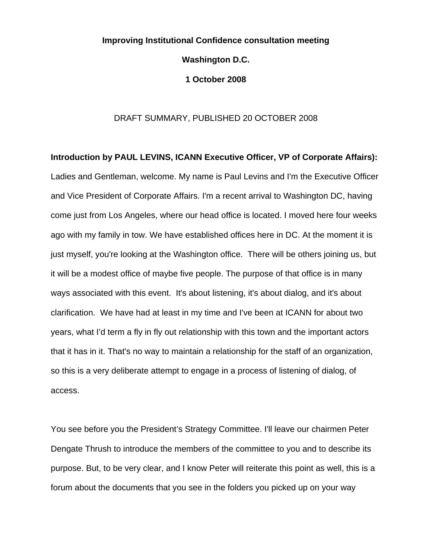# **Improving Institutional Confidence consultation meeting Washington D.C. 1 October 2008**

### DRAFT SUMMARY, PUBLISHED 20 OCTOBER 2008

**Introduction by PAUL LEVINS, ICANN Executive Officer, VP of Corporate Affairs):**  Ladies and Gentleman, welcome. My name is Paul Levins and I'm the Executive Officer and Vice President of Corporate Affairs. I'm a recent arrival to Washington DC, having come just from Los Angeles, where our head office is located. I moved here four weeks ago with my family in tow. We have established offices here in DC. At the moment it is just myself, you're looking at the Washington office. There will be others joining us, but it will be a modest office of maybe five people. The purpose of that office is in many ways associated with this event. It's about listening, it's about dialog, and it's about clarification. We have had at least in my time and I've been at ICANN for about two years, what I'd term a fly in fly out relationship with this town and the important actors that it has in it. That's no way to maintain a relationship for the staff of an organization, so this is a very deliberate attempt to engage in a process of listening of dialog, of access.

You see before you the President's Strategy Committee. I'll leave our chairmen Peter Dengate Thrush to introduce the members of the committee to you and to describe its purpose. But, to be very clear, and I know Peter will reiterate this point as well, this is a forum about the documents that you see in the folders you picked up on your way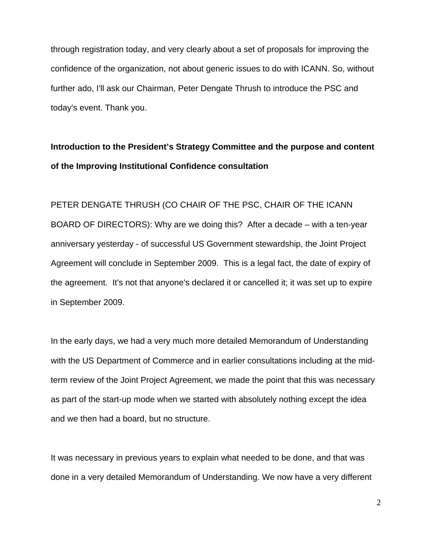through registration today, and very clearly about a set of proposals for improving the confidence of the organization, not about generic issues to do with ICANN. So, without further ado, I'll ask our Chairman, Peter Dengate Thrush to introduce the PSC and today's event. Thank you.

## **Introduction to the President's Strategy Committee and the purpose and content of the Improving Institutional Confidence consultation**

PETER DENGATE THRUSH (CO CHAIR OF THE PSC, CHAIR OF THE ICANN BOARD OF DIRECTORS): Why are we doing this? After a decade – with a ten-year anniversary yesterday - of successful US Government stewardship, the Joint Project Agreement will conclude in September 2009. This is a legal fact, the date of expiry of the agreement. It's not that anyone's declared it or cancelled it; it was set up to expire in September 2009.

In the early days, we had a very much more detailed Memorandum of Understanding with the US Department of Commerce and in earlier consultations including at the midterm review of the Joint Project Agreement, we made the point that this was necessary as part of the start-up mode when we started with absolutely nothing except the idea and we then had a board, but no structure.

It was necessary in previous years to explain what needed to be done, and that was done in a very detailed Memorandum of Understanding. We now have a very different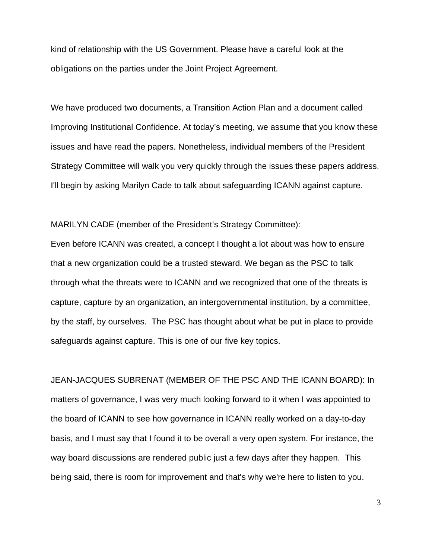kind of relationship with the US Government. Please have a careful look at the obligations on the parties under the Joint Project Agreement.

We have produced two documents, a Transition Action Plan and a document called Improving Institutional Confidence. At today's meeting, we assume that you know these issues and have read the papers. Nonetheless, individual members of the President Strategy Committee will walk you very quickly through the issues these papers address. I'll begin by asking Marilyn Cade to talk about safeguarding ICANN against capture.

MARILYN CADE (member of the President's Strategy Committee):

Even before ICANN was created, a concept I thought a lot about was how to ensure that a new organization could be a trusted steward. We began as the PSC to talk through what the threats were to ICANN and we recognized that one of the threats is capture, capture by an organization, an intergovernmental institution, by a committee, by the staff, by ourselves. The PSC has thought about what be put in place to provide safeguards against capture. This is one of our five key topics.

JEAN-JACQUES SUBRENAT (MEMBER OF THE PSC AND THE ICANN BOARD): In matters of governance, I was very much looking forward to it when I was appointed to the board of ICANN to see how governance in ICANN really worked on a day-to-day basis, and I must say that I found it to be overall a very open system. For instance, the way board discussions are rendered public just a few days after they happen. This being said, there is room for improvement and that's why we're here to listen to you.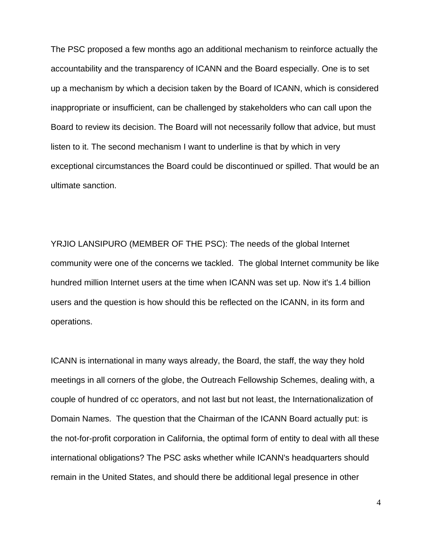The PSC proposed a few months ago an additional mechanism to reinforce actually the accountability and the transparency of ICANN and the Board especially. One is to set up a mechanism by which a decision taken by the Board of ICANN, which is considered inappropriate or insufficient, can be challenged by stakeholders who can call upon the Board to review its decision. The Board will not necessarily follow that advice, but must listen to it. The second mechanism I want to underline is that by which in very exceptional circumstances the Board could be discontinued or spilled. That would be an ultimate sanction.

YRJIO LANSIPURO (MEMBER OF THE PSC): The needs of the global Internet community were one of the concerns we tackled. The global Internet community be like hundred million Internet users at the time when ICANN was set up. Now it's 1.4 billion users and the question is how should this be reflected on the ICANN, in its form and operations.

ICANN is international in many ways already, the Board, the staff, the way they hold meetings in all corners of the globe, the Outreach Fellowship Schemes, dealing with, a couple of hundred of cc operators, and not last but not least, the Internationalization of Domain Names. The question that the Chairman of the ICANN Board actually put: is the not-for-profit corporation in California, the optimal form of entity to deal with all these international obligations? The PSC asks whether while ICANN's headquarters should remain in the United States, and should there be additional legal presence in other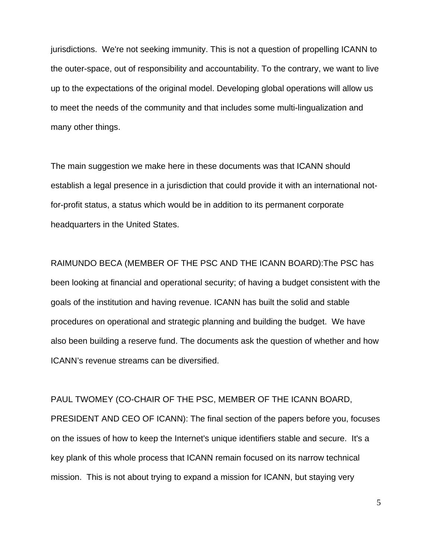jurisdictions. We're not seeking immunity. This is not a question of propelling ICANN to the outer-space, out of responsibility and accountability. To the contrary, we want to live up to the expectations of the original model. Developing global operations will allow us to meet the needs of the community and that includes some multi-lingualization and many other things.

The main suggestion we make here in these documents was that ICANN should establish a legal presence in a jurisdiction that could provide it with an international notfor-profit status, a status which would be in addition to its permanent corporate headquarters in the United States.

RAIMUNDO BECA (MEMBER OF THE PSC AND THE ICANN BOARD):The PSC has been looking at financial and operational security; of having a budget consistent with the goals of the institution and having revenue. ICANN has built the solid and stable procedures on operational and strategic planning and building the budget. We have also been building a reserve fund. The documents ask the question of whether and how ICANN's revenue streams can be diversified.

PAUL TWOMEY (CO-CHAIR OF THE PSC, MEMBER OF THE ICANN BOARD, PRESIDENT AND CEO OF ICANN): The final section of the papers before you, focuses on the issues of how to keep the Internet's unique identifiers stable and secure. It's a key plank of this whole process that ICANN remain focused on its narrow technical mission. This is not about trying to expand a mission for ICANN, but staying very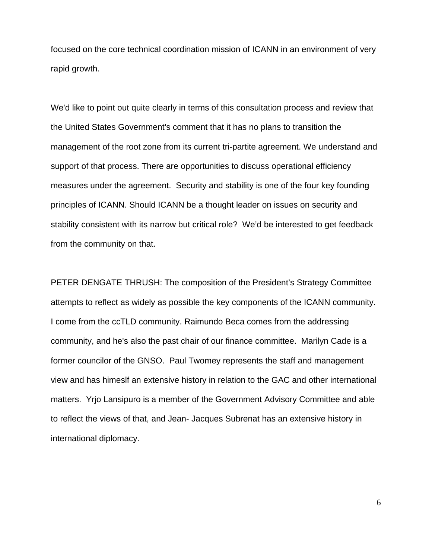focused on the core technical coordination mission of ICANN in an environment of very rapid growth.

We'd like to point out quite clearly in terms of this consultation process and review that the United States Government's comment that it has no plans to transition the management of the root zone from its current tri-partite agreement. We understand and support of that process. There are opportunities to discuss operational efficiency measures under the agreement. Security and stability is one of the four key founding principles of ICANN. Should ICANN be a thought leader on issues on security and stability consistent with its narrow but critical role? We'd be interested to get feedback from the community on that.

PETER DENGATE THRUSH: The composition of the President's Strategy Committee attempts to reflect as widely as possible the key components of the ICANN community. I come from the ccTLD community. Raimundo Beca comes from the addressing community, and he's also the past chair of our finance committee. Marilyn Cade is a former councilor of the GNSO. Paul Twomey represents the staff and management view and has himeslf an extensive history in relation to the GAC and other international matters. Yrjo Lansipuro is a member of the Government Advisory Committee and able to reflect the views of that, and Jean- Jacques Subrenat has an extensive history in international diplomacy.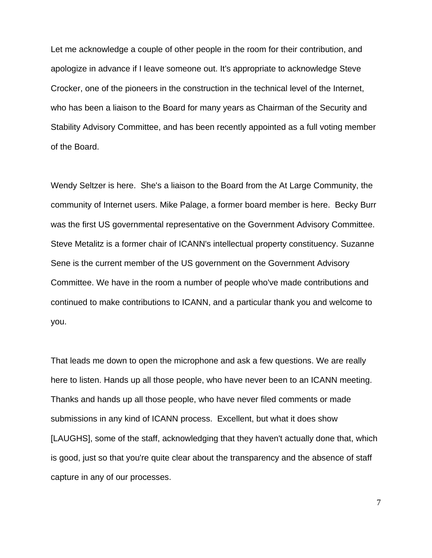Let me acknowledge a couple of other people in the room for their contribution, and apologize in advance if I leave someone out. It's appropriate to acknowledge Steve Crocker, one of the pioneers in the construction in the technical level of the Internet, who has been a liaison to the Board for many years as Chairman of the Security and Stability Advisory Committee, and has been recently appointed as a full voting member of the Board.

Wendy Seltzer is here. She's a liaison to the Board from the At Large Community, the community of Internet users. Mike Palage, a former board member is here. Becky Burr was the first US governmental representative on the Government Advisory Committee. Steve Metalitz is a former chair of ICANN's intellectual property constituency. Suzanne Sene is the current member of the US government on the Government Advisory Committee. We have in the room a number of people who've made contributions and continued to make contributions to ICANN, and a particular thank you and welcome to you.

That leads me down to open the microphone and ask a few questions. We are really here to listen. Hands up all those people, who have never been to an ICANN meeting. Thanks and hands up all those people, who have never filed comments or made submissions in any kind of ICANN process. Excellent, but what it does show [LAUGHS], some of the staff, acknowledging that they haven't actually done that, which is good, just so that you're quite clear about the transparency and the absence of staff capture in any of our processes.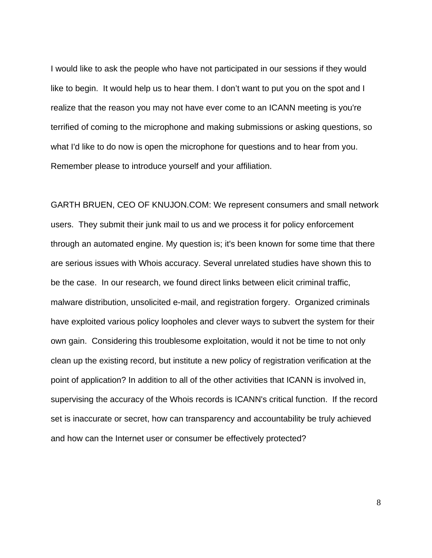I would like to ask the people who have not participated in our sessions if they would like to begin. It would help us to hear them. I don't want to put you on the spot and I realize that the reason you may not have ever come to an ICANN meeting is you're terrified of coming to the microphone and making submissions or asking questions, so what I'd like to do now is open the microphone for questions and to hear from you. Remember please to introduce yourself and your affiliation.

GARTH BRUEN, CEO OF KNUJON.COM: We represent consumers and small network users. They submit their junk mail to us and we process it for policy enforcement through an automated engine. My question is; it's been known for some time that there are serious issues with Whois accuracy. Several unrelated studies have shown this to be the case. In our research, we found direct links between elicit criminal traffic, malware distribution, unsolicited e-mail, and registration forgery. Organized criminals have exploited various policy loopholes and clever ways to subvert the system for their own gain. Considering this troublesome exploitation, would it not be time to not only clean up the existing record, but institute a new policy of registration verification at the point of application? In addition to all of the other activities that ICANN is involved in, supervising the accuracy of the Whois records is ICANN's critical function. If the record set is inaccurate or secret, how can transparency and accountability be truly achieved and how can the Internet user or consumer be effectively protected?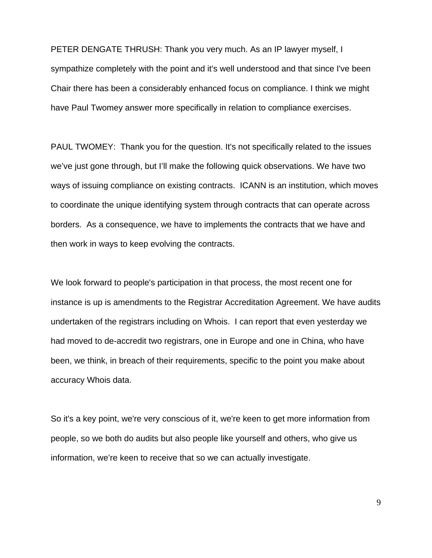PETER DENGATE THRUSH: Thank you very much. As an IP lawyer myself, I sympathize completely with the point and it's well understood and that since I've been Chair there has been a considerably enhanced focus on compliance. I think we might have Paul Twomey answer more specifically in relation to compliance exercises.

PAUL TWOMEY: Thank you for the question. It's not specifically related to the issues we've just gone through, but I'll make the following quick observations. We have two ways of issuing compliance on existing contracts. ICANN is an institution, which moves to coordinate the unique identifying system through contracts that can operate across borders. As a consequence, we have to implements the contracts that we have and then work in ways to keep evolving the contracts.

We look forward to people's participation in that process, the most recent one for instance is up is amendments to the Registrar Accreditation Agreement. We have audits undertaken of the registrars including on Whois. I can report that even yesterday we had moved to de-accredit two registrars, one in Europe and one in China, who have been, we think, in breach of their requirements, specific to the point you make about accuracy Whois data.

So it's a key point, we're very conscious of it, we're keen to get more information from people, so we both do audits but also people like yourself and others, who give us information, we're keen to receive that so we can actually investigate.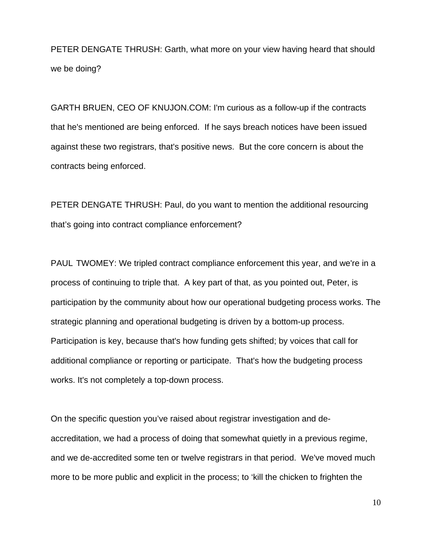PETER DENGATE THRUSH: Garth, what more on your view having heard that should we be doing?

GARTH BRUEN, CEO OF KNUJON.COM: I'm curious as a follow-up if the contracts that he's mentioned are being enforced. If he says breach notices have been issued against these two registrars, that's positive news. But the core concern is about the contracts being enforced.

PETER DENGATE THRUSH: Paul, do you want to mention the additional resourcing that's going into contract compliance enforcement?

PAUL TWOMEY: We tripled contract compliance enforcement this year, and we're in a process of continuing to triple that. A key part of that, as you pointed out, Peter, is participation by the community about how our operational budgeting process works. The strategic planning and operational budgeting is driven by a bottom-up process. Participation is key, because that's how funding gets shifted; by voices that call for additional compliance or reporting or participate. That's how the budgeting process works. It's not completely a top-down process.

On the specific question you've raised about registrar investigation and deaccreditation, we had a process of doing that somewhat quietly in a previous regime, and we de-accredited some ten or twelve registrars in that period. We've moved much more to be more public and explicit in the process; to 'kill the chicken to frighten the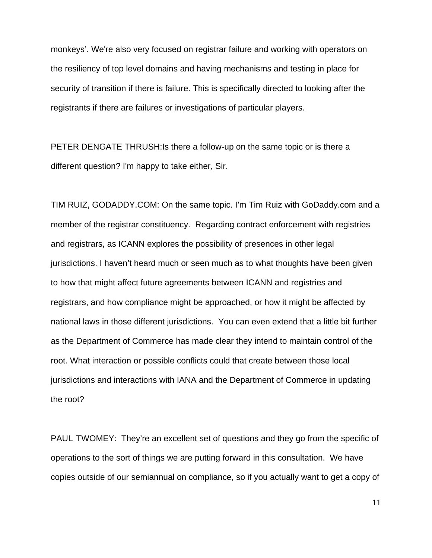monkeys'. We're also very focused on registrar failure and working with operators on the resiliency of top level domains and having mechanisms and testing in place for security of transition if there is failure. This is specifically directed to looking after the registrants if there are failures or investigations of particular players.

PETER DENGATE THRUSH:Is there a follow-up on the same topic or is there a different question? I'm happy to take either, Sir.

TIM RUIZ, GODADDY.COM: On the same topic. I'm Tim Ruiz with GoDaddy.com and a member of the registrar constituency. Regarding contract enforcement with registries and registrars, as ICANN explores the possibility of presences in other legal jurisdictions. I haven't heard much or seen much as to what thoughts have been given to how that might affect future agreements between ICANN and registries and registrars, and how compliance might be approached, or how it might be affected by national laws in those different jurisdictions. You can even extend that a little bit further as the Department of Commerce has made clear they intend to maintain control of the root. What interaction or possible conflicts could that create between those local jurisdictions and interactions with IANA and the Department of Commerce in updating the root?

PAUL TWOMEY: They're an excellent set of questions and they go from the specific of operations to the sort of things we are putting forward in this consultation. We have copies outside of our semiannual on compliance, so if you actually want to get a copy of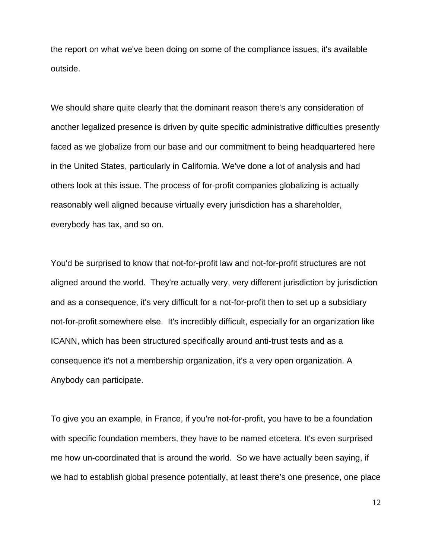the report on what we've been doing on some of the compliance issues, it's available outside.

We should share quite clearly that the dominant reason there's any consideration of another legalized presence is driven by quite specific administrative difficulties presently faced as we globalize from our base and our commitment to being headquartered here in the United States, particularly in California. We've done a lot of analysis and had others look at this issue. The process of for-profit companies globalizing is actually reasonably well aligned because virtually every jurisdiction has a shareholder, everybody has tax, and so on.

You'd be surprised to know that not-for-profit law and not-for-profit structures are not aligned around the world. They're actually very, very different jurisdiction by jurisdiction and as a consequence, it's very difficult for a not-for-profit then to set up a subsidiary not-for-profit somewhere else. It's incredibly difficult, especially for an organization like ICANN, which has been structured specifically around anti-trust tests and as a consequence it's not a membership organization, it's a very open organization. A Anybody can participate.

To give you an example, in France, if you're not-for-profit, you have to be a foundation with specific foundation members, they have to be named etcetera. It's even surprised me how un-coordinated that is around the world. So we have actually been saying, if we had to establish global presence potentially, at least there's one presence, one place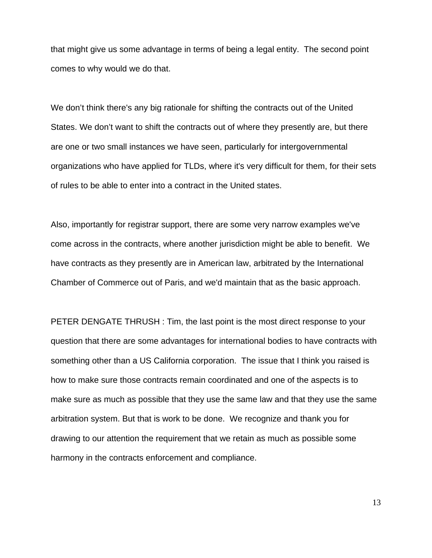that might give us some advantage in terms of being a legal entity. The second point comes to why would we do that.

We don't think there's any big rationale for shifting the contracts out of the United States. We don't want to shift the contracts out of where they presently are, but there are one or two small instances we have seen, particularly for intergovernmental organizations who have applied for TLDs, where it's very difficult for them, for their sets of rules to be able to enter into a contract in the United states.

Also, importantly for registrar support, there are some very narrow examples we've come across in the contracts, where another jurisdiction might be able to benefit. We have contracts as they presently are in American law, arbitrated by the International Chamber of Commerce out of Paris, and we'd maintain that as the basic approach.

PETER DENGATE THRUSH : Tim, the last point is the most direct response to your question that there are some advantages for international bodies to have contracts with something other than a US California corporation. The issue that I think you raised is how to make sure those contracts remain coordinated and one of the aspects is to make sure as much as possible that they use the same law and that they use the same arbitration system. But that is work to be done. We recognize and thank you for drawing to our attention the requirement that we retain as much as possible some harmony in the contracts enforcement and compliance.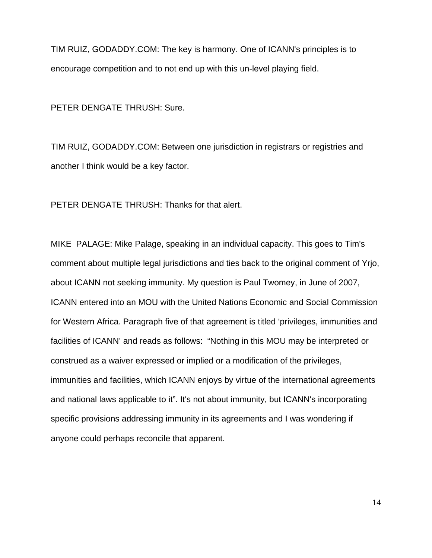TIM RUIZ, GODADDY.COM: The key is harmony. One of ICANN's principles is to encourage competition and to not end up with this un-level playing field.

PETER DENGATE THRUSH: Sure.

TIM RUIZ, GODADDY.COM: Between one jurisdiction in registrars or registries and another I think would be a key factor.

PETER DENGATE THRUSH: Thanks for that alert.

MIKE PALAGE: Mike Palage, speaking in an individual capacity. This goes to Tim's comment about multiple legal jurisdictions and ties back to the original comment of Yrjo, about ICANN not seeking immunity. My question is Paul Twomey, in June of 2007, ICANN entered into an MOU with the United Nations Economic and Social Commission for Western Africa. Paragraph five of that agreement is titled 'privileges, immunities and facilities of ICANN' and reads as follows: "Nothing in this MOU may be interpreted or construed as a waiver expressed or implied or a modification of the privileges, immunities and facilities, which ICANN enjoys by virtue of the international agreements and national laws applicable to it". It's not about immunity, but ICANN's incorporating specific provisions addressing immunity in its agreements and I was wondering if anyone could perhaps reconcile that apparent.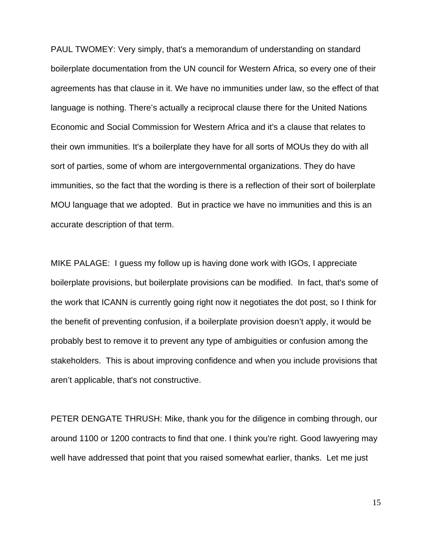PAUL TWOMEY: Very simply, that's a memorandum of understanding on standard boilerplate documentation from the UN council for Western Africa, so every one of their agreements has that clause in it. We have no immunities under law, so the effect of that language is nothing. There's actually a reciprocal clause there for the United Nations Economic and Social Commission for Western Africa and it's a clause that relates to their own immunities. It's a boilerplate they have for all sorts of MOUs they do with all sort of parties, some of whom are intergovernmental organizations. They do have immunities, so the fact that the wording is there is a reflection of their sort of boilerplate MOU language that we adopted. But in practice we have no immunities and this is an accurate description of that term.

MIKE PALAGE: I guess my follow up is having done work with IGOs, I appreciate boilerplate provisions, but boilerplate provisions can be modified. In fact, that's some of the work that ICANN is currently going right now it negotiates the dot post, so I think for the benefit of preventing confusion, if a boilerplate provision doesn't apply, it would be probably best to remove it to prevent any type of ambiguities or confusion among the stakeholders. This is about improving confidence and when you include provisions that aren't applicable, that's not constructive.

PETER DENGATE THRUSH: Mike, thank you for the diligence in combing through, our around 1100 or 1200 contracts to find that one. I think you're right. Good lawyering may well have addressed that point that you raised somewhat earlier, thanks. Let me just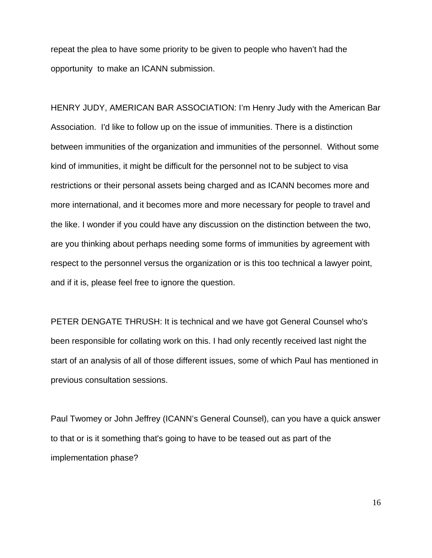repeat the plea to have some priority to be given to people who haven't had the opportunity to make an ICANN submission.

HENRY JUDY, AMERICAN BAR ASSOCIATION: I'm Henry Judy with the American Bar Association. I'd like to follow up on the issue of immunities. There is a distinction between immunities of the organization and immunities of the personnel. Without some kind of immunities, it might be difficult for the personnel not to be subject to visa restrictions or their personal assets being charged and as ICANN becomes more and more international, and it becomes more and more necessary for people to travel and the like. I wonder if you could have any discussion on the distinction between the two, are you thinking about perhaps needing some forms of immunities by agreement with respect to the personnel versus the organization or is this too technical a lawyer point, and if it is, please feel free to ignore the question.

PETER DENGATE THRUSH: It is technical and we have got General Counsel who's been responsible for collating work on this. I had only recently received last night the start of an analysis of all of those different issues, some of which Paul has mentioned in previous consultation sessions.

Paul Twomey or John Jeffrey (ICANN's General Counsel), can you have a quick answer to that or is it something that's going to have to be teased out as part of the implementation phase?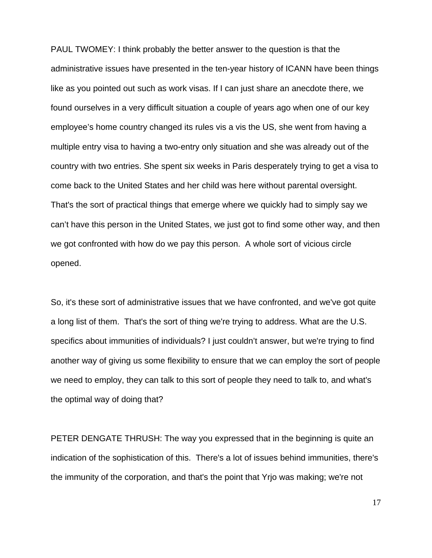PAUL TWOMEY: I think probably the better answer to the question is that the administrative issues have presented in the ten-year history of ICANN have been things like as you pointed out such as work visas. If I can just share an anecdote there, we found ourselves in a very difficult situation a couple of years ago when one of our key employee's home country changed its rules vis a vis the US, she went from having a multiple entry visa to having a two-entry only situation and she was already out of the country with two entries. She spent six weeks in Paris desperately trying to get a visa to come back to the United States and her child was here without parental oversight. That's the sort of practical things that emerge where we quickly had to simply say we can't have this person in the United States, we just got to find some other way, and then we got confronted with how do we pay this person. A whole sort of vicious circle opened.

So, it's these sort of administrative issues that we have confronted, and we've got quite a long list of them. That's the sort of thing we're trying to address. What are the U.S. specifics about immunities of individuals? I just couldn't answer, but we're trying to find another way of giving us some flexibility to ensure that we can employ the sort of people we need to employ, they can talk to this sort of people they need to talk to, and what's the optimal way of doing that?

PETER DENGATE THRUSH: The way you expressed that in the beginning is quite an indication of the sophistication of this. There's a lot of issues behind immunities, there's the immunity of the corporation, and that's the point that Yrjo was making; we're not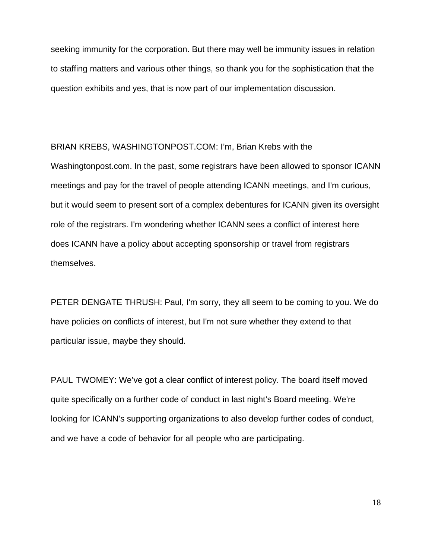seeking immunity for the corporation. But there may well be immunity issues in relation to staffing matters and various other things, so thank you for the sophistication that the question exhibits and yes, that is now part of our implementation discussion.

BRIAN KREBS, WASHINGTONPOST.COM: I'm, Brian Krebs with the Washingtonpost.com. In the past, some registrars have been allowed to sponsor ICANN meetings and pay for the travel of people attending ICANN meetings, and I'm curious, but it would seem to present sort of a complex debentures for ICANN given its oversight role of the registrars. I'm wondering whether ICANN sees a conflict of interest here does ICANN have a policy about accepting sponsorship or travel from registrars themselves.

PETER DENGATE THRUSH: Paul, I'm sorry, they all seem to be coming to you. We do have policies on conflicts of interest, but I'm not sure whether they extend to that particular issue, maybe they should.

PAUL TWOMEY: We've got a clear conflict of interest policy. The board itself moved quite specifically on a further code of conduct in last night's Board meeting. We're looking for ICANN's supporting organizations to also develop further codes of conduct, and we have a code of behavior for all people who are participating.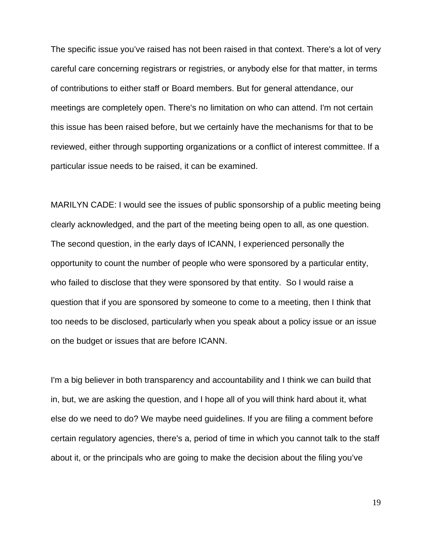The specific issue you've raised has not been raised in that context. There's a lot of very careful care concerning registrars or registries, or anybody else for that matter, in terms of contributions to either staff or Board members. But for general attendance, our meetings are completely open. There's no limitation on who can attend. I'm not certain this issue has been raised before, but we certainly have the mechanisms for that to be reviewed, either through supporting organizations or a conflict of interest committee. If a particular issue needs to be raised, it can be examined.

MARILYN CADE: I would see the issues of public sponsorship of a public meeting being clearly acknowledged, and the part of the meeting being open to all, as one question. The second question, in the early days of ICANN, I experienced personally the opportunity to count the number of people who were sponsored by a particular entity, who failed to disclose that they were sponsored by that entity. So I would raise a question that if you are sponsored by someone to come to a meeting, then I think that too needs to be disclosed, particularly when you speak about a policy issue or an issue on the budget or issues that are before ICANN.

I'm a big believer in both transparency and accountability and I think we can build that in, but, we are asking the question, and I hope all of you will think hard about it, what else do we need to do? We maybe need guidelines. If you are filing a comment before certain regulatory agencies, there's a, period of time in which you cannot talk to the staff about it, or the principals who are going to make the decision about the filing you've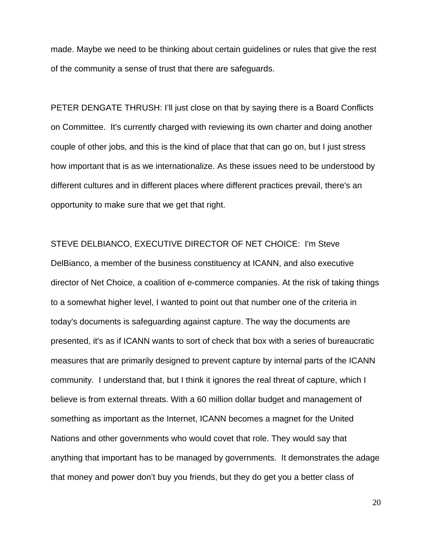made. Maybe we need to be thinking about certain guidelines or rules that give the rest of the community a sense of trust that there are safeguards.

PETER DENGATE THRUSH: I'll just close on that by saying there is a Board Conflicts on Committee. It's currently charged with reviewing its own charter and doing another couple of other jobs, and this is the kind of place that that can go on, but I just stress how important that is as we internationalize. As these issues need to be understood by different cultures and in different places where different practices prevail, there's an opportunity to make sure that we get that right.

STEVE DELBIANCO, EXECUTIVE DIRECTOR OF NET CHOICE: I'm Steve

DelBianco, a member of the business constituency at ICANN, and also executive director of Net Choice, a coalition of e-commerce companies. At the risk of taking things to a somewhat higher level, I wanted to point out that number one of the criteria in today's documents is safeguarding against capture. The way the documents are presented, it's as if ICANN wants to sort of check that box with a series of bureaucratic measures that are primarily designed to prevent capture by internal parts of the ICANN community. I understand that, but I think it ignores the real threat of capture, which I believe is from external threats. With a 60 million dollar budget and management of something as important as the Internet, ICANN becomes a magnet for the United Nations and other governments who would covet that role. They would say that anything that important has to be managed by governments. It demonstrates the adage that money and power don't buy you friends, but they do get you a better class of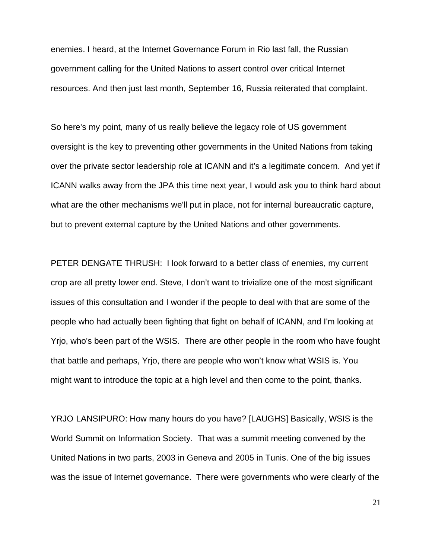enemies. I heard, at the Internet Governance Forum in Rio last fall, the Russian government calling for the United Nations to assert control over critical Internet resources. And then just last month, September 16, Russia reiterated that complaint.

So here's my point, many of us really believe the legacy role of US government oversight is the key to preventing other governments in the United Nations from taking over the private sector leadership role at ICANN and it's a legitimate concern. And yet if ICANN walks away from the JPA this time next year, I would ask you to think hard about what are the other mechanisms we'll put in place, not for internal bureaucratic capture, but to prevent external capture by the United Nations and other governments.

PETER DENGATE THRUSH: I look forward to a better class of enemies, my current crop are all pretty lower end. Steve, I don't want to trivialize one of the most significant issues of this consultation and I wonder if the people to deal with that are some of the people who had actually been fighting that fight on behalf of ICANN, and I'm looking at Yrjo, who's been part of the WSIS. There are other people in the room who have fought that battle and perhaps, Yrjo, there are people who won't know what WSIS is. You might want to introduce the topic at a high level and then come to the point, thanks.

YRJO LANSIPURO: How many hours do you have? [LAUGHS] Basically, WSIS is the World Summit on Information Society. That was a summit meeting convened by the United Nations in two parts, 2003 in Geneva and 2005 in Tunis. One of the big issues was the issue of Internet governance. There were governments who were clearly of the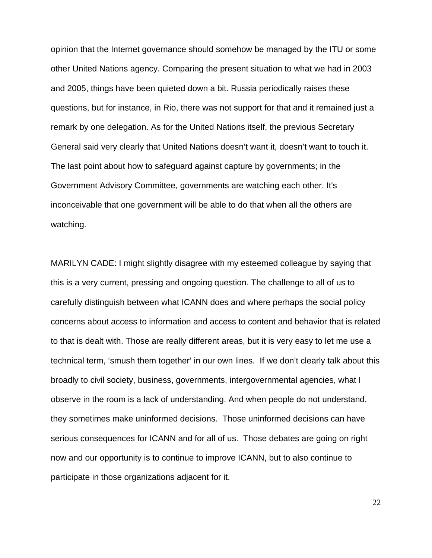opinion that the Internet governance should somehow be managed by the ITU or some other United Nations agency. Comparing the present situation to what we had in 2003 and 2005, things have been quieted down a bit. Russia periodically raises these questions, but for instance, in Rio, there was not support for that and it remained just a remark by one delegation. As for the United Nations itself, the previous Secretary General said very clearly that United Nations doesn't want it, doesn't want to touch it. The last point about how to safeguard against capture by governments; in the Government Advisory Committee, governments are watching each other. It's inconceivable that one government will be able to do that when all the others are watching.

MARILYN CADE: I might slightly disagree with my esteemed colleague by saying that this is a very current, pressing and ongoing question. The challenge to all of us to carefully distinguish between what ICANN does and where perhaps the social policy concerns about access to information and access to content and behavior that is related to that is dealt with. Those are really different areas, but it is very easy to let me use a technical term, 'smush them together' in our own lines. If we don't clearly talk about this broadly to civil society, business, governments, intergovernmental agencies, what I observe in the room is a lack of understanding. And when people do not understand, they sometimes make uninformed decisions. Those uninformed decisions can have serious consequences for ICANN and for all of us. Those debates are going on right now and our opportunity is to continue to improve ICANN, but to also continue to participate in those organizations adjacent for it.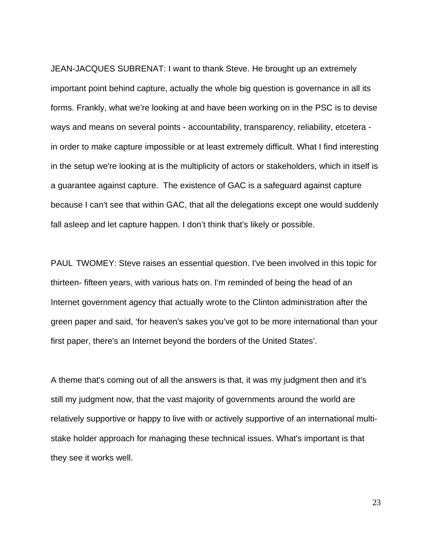JEAN-JACQUES SUBRENAT: I want to thank Steve. He brought up an extremely important point behind capture, actually the whole big question is governance in all its forms. Frankly, what we're looking at and have been working on in the PSC is to devise ways and means on several points - accountability, transparency, reliability, etcetera in order to make capture impossible or at least extremely difficult. What I find interesting in the setup we're looking at is the multiplicity of actors or stakeholders, which in itself is a guarantee against capture. The existence of GAC is a safeguard against capture because I can't see that within GAC, that all the delegations except one would suddenly fall asleep and let capture happen. I don't think that's likely or possible.

PAUL TWOMEY: Steve raises an essential question. I've been involved in this topic for thirteen- fifteen years, with various hats on. I'm reminded of being the head of an Internet government agency that actually wrote to the Clinton administration after the green paper and said, 'for heaven's sakes you've got to be more international than your first paper, there's an Internet beyond the borders of the United States'.

A theme that's coming out of all the answers is that, it was my judgment then and it's still my judgment now, that the vast majority of governments around the world are relatively supportive or happy to live with or actively supportive of an international multistake holder approach for managing these technical issues. What's important is that they see it works well.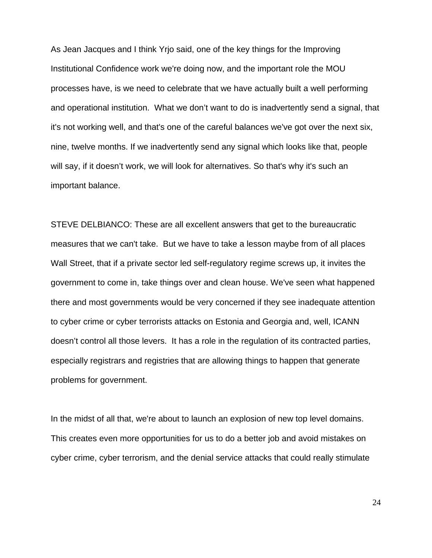As Jean Jacques and I think Yrjo said, one of the key things for the Improving Institutional Confidence work we're doing now, and the important role the MOU processes have, is we need to celebrate that we have actually built a well performing and operational institution. What we don't want to do is inadvertently send a signal, that it's not working well, and that's one of the careful balances we've got over the next six, nine, twelve months. If we inadvertently send any signal which looks like that, people will say, if it doesn't work, we will look for alternatives. So that's why it's such an important balance.

STEVE DELBIANCO: These are all excellent answers that get to the bureaucratic measures that we can't take. But we have to take a lesson maybe from of all places Wall Street, that if a private sector led self-regulatory regime screws up, it invites the government to come in, take things over and clean house. We've seen what happened there and most governments would be very concerned if they see inadequate attention to cyber crime or cyber terrorists attacks on Estonia and Georgia and, well, ICANN doesn't control all those levers. It has a role in the regulation of its contracted parties, especially registrars and registries that are allowing things to happen that generate problems for government.

In the midst of all that, we're about to launch an explosion of new top level domains. This creates even more opportunities for us to do a better job and avoid mistakes on cyber crime, cyber terrorism, and the denial service attacks that could really stimulate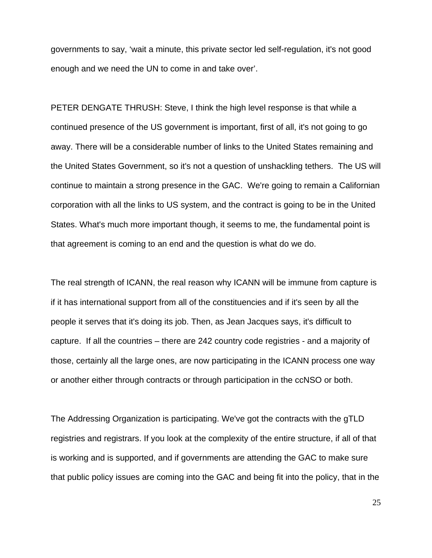governments to say, 'wait a minute, this private sector led self-regulation, it's not good enough and we need the UN to come in and take over'.

PETER DENGATE THRUSH: Steve, I think the high level response is that while a continued presence of the US government is important, first of all, it's not going to go away. There will be a considerable number of links to the United States remaining and the United States Government, so it's not a question of unshackling tethers. The US will continue to maintain a strong presence in the GAC. We're going to remain a Californian corporation with all the links to US system, and the contract is going to be in the United States. What's much more important though, it seems to me, the fundamental point is that agreement is coming to an end and the question is what do we do.

The real strength of ICANN, the real reason why ICANN will be immune from capture is if it has international support from all of the constituencies and if it's seen by all the people it serves that it's doing its job. Then, as Jean Jacques says, it's difficult to capture. If all the countries – there are 242 country code registries - and a majority of those, certainly all the large ones, are now participating in the ICANN process one way or another either through contracts or through participation in the ccNSO or both.

The Addressing Organization is participating. We've got the contracts with the gTLD registries and registrars. If you look at the complexity of the entire structure, if all of that is working and is supported, and if governments are attending the GAC to make sure that public policy issues are coming into the GAC and being fit into the policy, that in the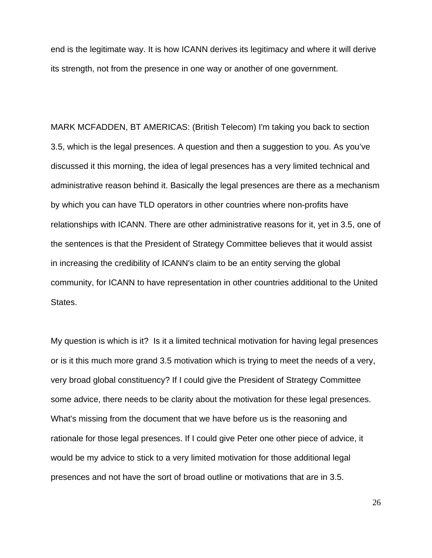end is the legitimate way. It is how ICANN derives its legitimacy and where it will derive its strength, not from the presence in one way or another of one government.

MARK MCFADDEN, BT AMERICAS: (British Telecom) I'm taking you back to section 3.5, which is the legal presences. A question and then a suggestion to you. As you've discussed it this morning, the idea of legal presences has a very limited technical and administrative reason behind it. Basically the legal presences are there as a mechanism by which you can have TLD operators in other countries where non-profits have relationships with ICANN. There are other administrative reasons for it, yet in 3.5, one of the sentences is that the President of Strategy Committee believes that it would assist in increasing the credibility of ICANN's claim to be an entity serving the global community, for ICANN to have representation in other countries additional to the United States.

My question is which is it? Is it a limited technical motivation for having legal presences or is it this much more grand 3.5 motivation which is trying to meet the needs of a very, very broad global constituency? If I could give the President of Strategy Committee some advice, there needs to be clarity about the motivation for these legal presences. What's missing from the document that we have before us is the reasoning and rationale for those legal presences. If I could give Peter one other piece of advice, it would be my advice to stick to a very limited motivation for those additional legal presences and not have the sort of broad outline or motivations that are in 3.5.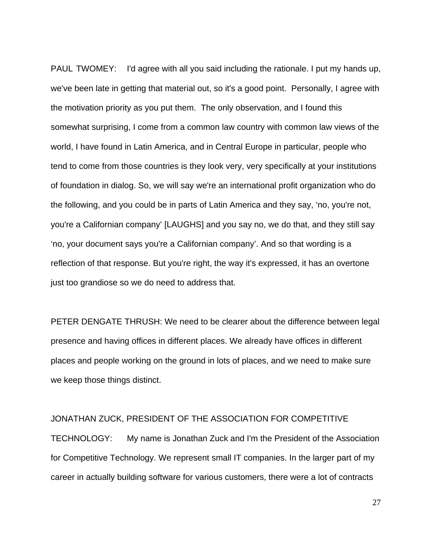PAUL TWOMEY: I'd agree with all you said including the rationale. I put my hands up, we've been late in getting that material out, so it's a good point. Personally, I agree with the motivation priority as you put them. The only observation, and I found this somewhat surprising, I come from a common law country with common law views of the world, I have found in Latin America, and in Central Europe in particular, people who tend to come from those countries is they look very, very specifically at your institutions of foundation in dialog. So, we will say we're an international profit organization who do the following, and you could be in parts of Latin America and they say, 'no, you're not, you're a Californian company' [LAUGHS] and you say no, we do that, and they still say 'no, your document says you're a Californian company'. And so that wording is a reflection of that response. But you're right, the way it's expressed, it has an overtone just too grandiose so we do need to address that.

PETER DENGATE THRUSH: We need to be clearer about the difference between legal presence and having offices in different places. We already have offices in different places and people working on the ground in lots of places, and we need to make sure we keep those things distinct.

### JONATHAN ZUCK, PRESIDENT OF THE ASSOCIATION FOR COMPETITIVE

TECHNOLOGY: My name is Jonathan Zuck and I'm the President of the Association for Competitive Technology. We represent small IT companies. In the larger part of my career in actually building software for various customers, there were a lot of contracts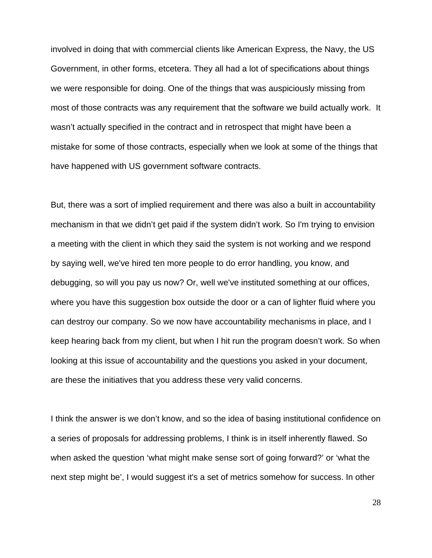involved in doing that with commercial clients like American Express, the Navy, the US Government, in other forms, etcetera. They all had a lot of specifications about things we were responsible for doing. One of the things that was auspiciously missing from most of those contracts was any requirement that the software we build actually work. It wasn't actually specified in the contract and in retrospect that might have been a mistake for some of those contracts, especially when we look at some of the things that have happened with US government software contracts.

But, there was a sort of implied requirement and there was also a built in accountability mechanism in that we didn't get paid if the system didn't work. So I'm trying to envision a meeting with the client in which they said the system is not working and we respond by saying well, we've hired ten more people to do error handling, you know, and debugging, so will you pay us now? Or, well we've instituted something at our offices, where you have this suggestion box outside the door or a can of lighter fluid where you can destroy our company. So we now have accountability mechanisms in place, and I keep hearing back from my client, but when I hit run the program doesn't work. So when looking at this issue of accountability and the questions you asked in your document, are these the initiatives that you address these very valid concerns.

I think the answer is we don't know, and so the idea of basing institutional confidence on a series of proposals for addressing problems, I think is in itself inherently flawed. So when asked the question 'what might make sense sort of going forward?' or 'what the next step might be', I would suggest it's a set of metrics somehow for success. In other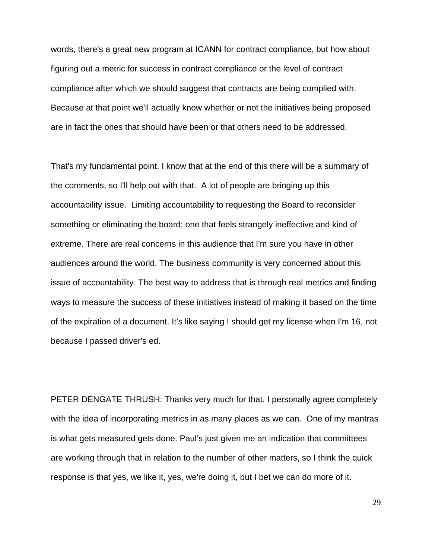words, there's a great new program at ICANN for contract compliance, but how about figuring out a metric for success in contract compliance or the level of contract compliance after which we should suggest that contracts are being complied with. Because at that point we'll actually know whether or not the initiatives being proposed are in fact the ones that should have been or that others need to be addressed.

That's my fundamental point. I know that at the end of this there will be a summary of the comments, so I'll help out with that. A lot of people are bringing up this accountability issue. Limiting accountability to requesting the Board to reconsider something or eliminating the board; one that feels strangely ineffective and kind of extreme. There are real concerns in this audience that I'm sure you have in other audiences around the world. The business community is very concerned about this issue of accountability. The best way to address that is through real metrics and finding ways to measure the success of these initiatives instead of making it based on the time of the expiration of a document. It's like saying I should get my license when I'm 16, not because I passed driver's ed.

PETER DENGATE THRUSH: Thanks very much for that. I personally agree completely with the idea of incorporating metrics in as many places as we can. One of my mantras is what gets measured gets done. Paul's just given me an indication that committees are working through that in relation to the number of other matters, so I think the quick response is that yes, we like it, yes, we're doing it, but I bet we can do more of it.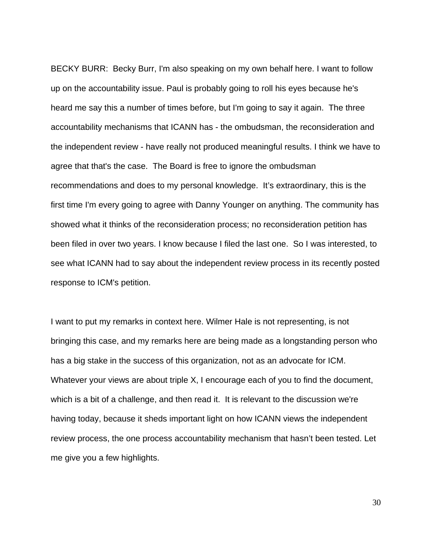BECKY BURR: Becky Burr, I'm also speaking on my own behalf here. I want to follow up on the accountability issue. Paul is probably going to roll his eyes because he's heard me say this a number of times before, but I'm going to say it again. The three accountability mechanisms that ICANN has - the ombudsman, the reconsideration and the independent review - have really not produced meaningful results. I think we have to agree that that's the case. The Board is free to ignore the ombudsman recommendations and does to my personal knowledge. It's extraordinary, this is the first time I'm every going to agree with Danny Younger on anything. The community has showed what it thinks of the reconsideration process; no reconsideration petition has been filed in over two years. I know because I filed the last one. So I was interested, to see what ICANN had to say about the independent review process in its recently posted response to ICM's petition.

I want to put my remarks in context here. Wilmer Hale is not representing, is not bringing this case, and my remarks here are being made as a longstanding person who has a big stake in the success of this organization, not as an advocate for ICM. Whatever your views are about triple X, I encourage each of you to find the document, which is a bit of a challenge, and then read it. It is relevant to the discussion we're having today, because it sheds important light on how ICANN views the independent review process, the one process accountability mechanism that hasn't been tested. Let me give you a few highlights.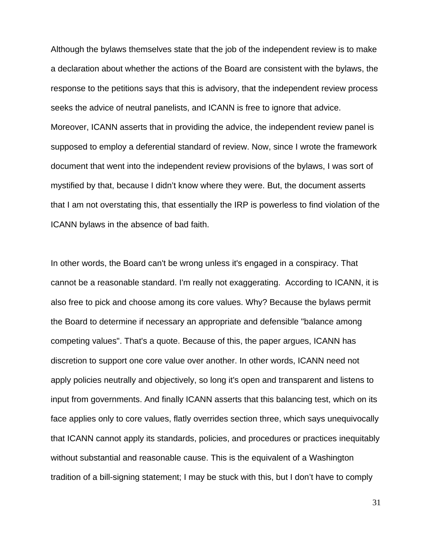Although the bylaws themselves state that the job of the independent review is to make a declaration about whether the actions of the Board are consistent with the bylaws, the response to the petitions says that this is advisory, that the independent review process seeks the advice of neutral panelists, and ICANN is free to ignore that advice. Moreover, ICANN asserts that in providing the advice, the independent review panel is supposed to employ a deferential standard of review. Now, since I wrote the framework document that went into the independent review provisions of the bylaws, I was sort of mystified by that, because I didn't know where they were. But, the document asserts that I am not overstating this, that essentially the IRP is powerless to find violation of the ICANN bylaws in the absence of bad faith.

In other words, the Board can't be wrong unless it's engaged in a conspiracy. That cannot be a reasonable standard. I'm really not exaggerating. According to ICANN, it is also free to pick and choose among its core values. Why? Because the bylaws permit the Board to determine if necessary an appropriate and defensible "balance among competing values". That's a quote. Because of this, the paper argues, ICANN has discretion to support one core value over another. In other words, ICANN need not apply policies neutrally and objectively, so long it's open and transparent and listens to input from governments. And finally ICANN asserts that this balancing test, which on its face applies only to core values, flatly overrides section three, which says unequivocally that ICANN cannot apply its standards, policies, and procedures or practices inequitably without substantial and reasonable cause. This is the equivalent of a Washington tradition of a bill-signing statement; I may be stuck with this, but I don't have to comply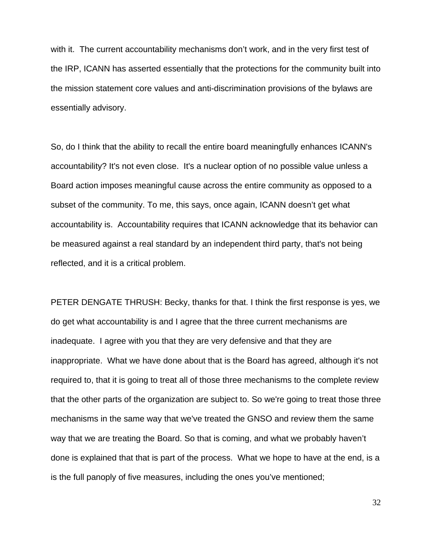with it. The current accountability mechanisms don't work, and in the very first test of the IRP, ICANN has asserted essentially that the protections for the community built into the mission statement core values and anti-discrimination provisions of the bylaws are essentially advisory.

So, do I think that the ability to recall the entire board meaningfully enhances ICANN's accountability? It's not even close. It's a nuclear option of no possible value unless a Board action imposes meaningful cause across the entire community as opposed to a subset of the community. To me, this says, once again, ICANN doesn't get what accountability is. Accountability requires that ICANN acknowledge that its behavior can be measured against a real standard by an independent third party, that's not being reflected, and it is a critical problem.

PETER DENGATE THRUSH: Becky, thanks for that. I think the first response is yes, we do get what accountability is and I agree that the three current mechanisms are inadequate. I agree with you that they are very defensive and that they are inappropriate. What we have done about that is the Board has agreed, although it's not required to, that it is going to treat all of those three mechanisms to the complete review that the other parts of the organization are subject to. So we're going to treat those three mechanisms in the same way that we've treated the GNSO and review them the same way that we are treating the Board. So that is coming, and what we probably haven't done is explained that that is part of the process. What we hope to have at the end, is a is the full panoply of five measures, including the ones you've mentioned;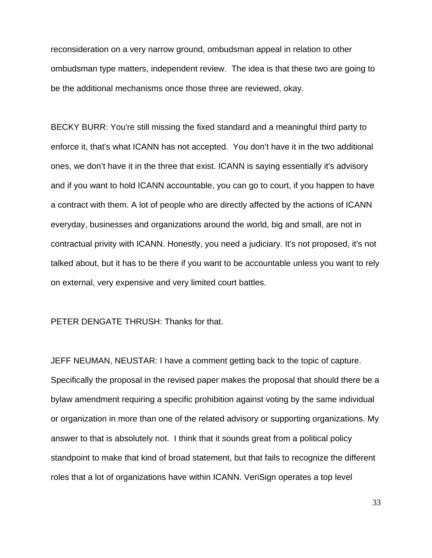reconsideration on a very narrow ground, ombudsman appeal in relation to other ombudsman type matters, independent review. The idea is that these two are going to be the additional mechanisms once those three are reviewed, okay.

BECKY BURR: You're still missing the fixed standard and a meaningful third party to enforce it, that's what ICANN has not accepted. You don't have it in the two additional ones, we don't have it in the three that exist. ICANN is saying essentially it's advisory and if you want to hold ICANN accountable, you can go to court, if you happen to have a contract with them. A lot of people who are directly affected by the actions of ICANN everyday, businesses and organizations around the world, big and small, are not in contractual privity with ICANN. Honestly, you need a judiciary. It's not proposed, it's not talked about, but it has to be there if you want to be accountable unless you want to rely on external, very expensive and very limited court battles.

### PETER DENGATE THRUSH: Thanks for that.

JEFF NEUMAN, NEUSTAR: I have a comment getting back to the topic of capture. Specifically the proposal in the revised paper makes the proposal that should there be a bylaw amendment requiring a specific prohibition against voting by the same individual or organization in more than one of the related advisory or supporting organizations. My answer to that is absolutely not. I think that it sounds great from a political policy standpoint to make that kind of broad statement, but that fails to recognize the different roles that a lot of organizations have within ICANN. VeriSign operates a top level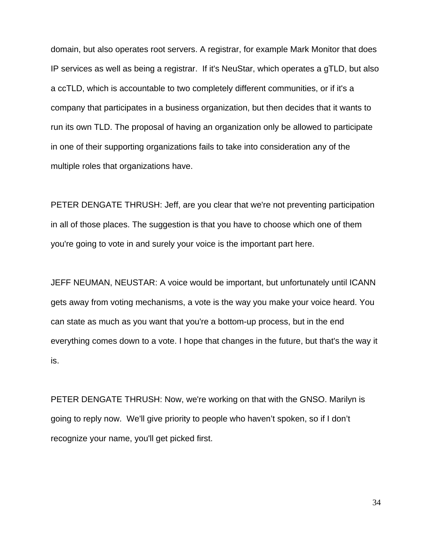domain, but also operates root servers. A registrar, for example Mark Monitor that does IP services as well as being a registrar. If it's NeuStar, which operates a gTLD, but also a ccTLD, which is accountable to two completely different communities, or if it's a company that participates in a business organization, but then decides that it wants to run its own TLD. The proposal of having an organization only be allowed to participate in one of their supporting organizations fails to take into consideration any of the multiple roles that organizations have.

PETER DENGATE THRUSH: Jeff, are you clear that we're not preventing participation in all of those places. The suggestion is that you have to choose which one of them you're going to vote in and surely your voice is the important part here.

JEFF NEUMAN, NEUSTAR: A voice would be important, but unfortunately until ICANN gets away from voting mechanisms, a vote is the way you make your voice heard. You can state as much as you want that you're a bottom-up process, but in the end everything comes down to a vote. I hope that changes in the future, but that's the way it is.

PETER DENGATE THRUSH: Now, we're working on that with the GNSO. Marilyn is going to reply now. We'll give priority to people who haven't spoken, so if I don't recognize your name, you'll get picked first.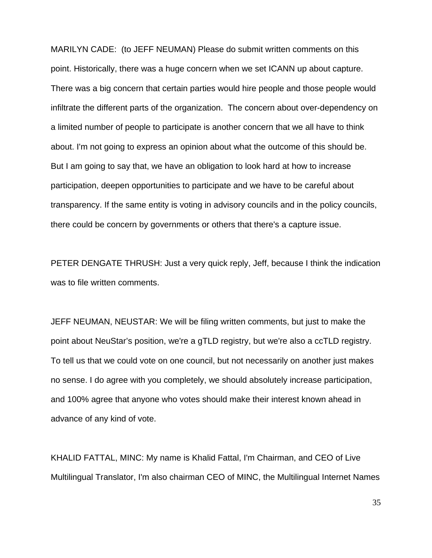MARILYN CADE: (to JEFF NEUMAN) Please do submit written comments on this point. Historically, there was a huge concern when we set ICANN up about capture. There was a big concern that certain parties would hire people and those people would infiltrate the different parts of the organization. The concern about over-dependency on a limited number of people to participate is another concern that we all have to think about. I'm not going to express an opinion about what the outcome of this should be. But I am going to say that, we have an obligation to look hard at how to increase participation, deepen opportunities to participate and we have to be careful about transparency. If the same entity is voting in advisory councils and in the policy councils, there could be concern by governments or others that there's a capture issue.

PETER DENGATE THRUSH: Just a very quick reply, Jeff, because I think the indication was to file written comments.

JEFF NEUMAN, NEUSTAR: We will be filing written comments, but just to make the point about NeuStar's position, we're a gTLD registry, but we're also a ccTLD registry. To tell us that we could vote on one council, but not necessarily on another just makes no sense. I do agree with you completely, we should absolutely increase participation, and 100% agree that anyone who votes should make their interest known ahead in advance of any kind of vote.

KHALID FATTAL, MINC: My name is Khalid Fattal, I'm Chairman, and CEO of Live Multilingual Translator, I'm also chairman CEO of MINC, the Multilingual Internet Names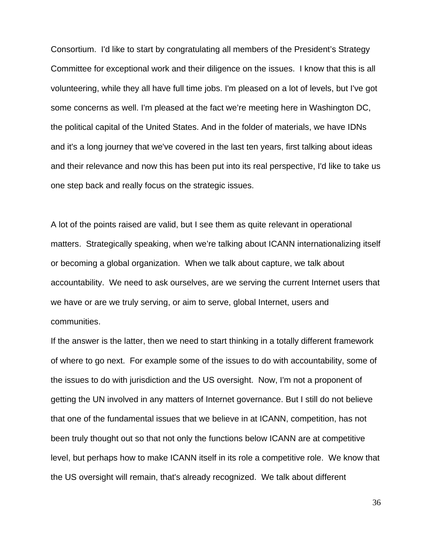Consortium. I'd like to start by congratulating all members of the President's Strategy Committee for exceptional work and their diligence on the issues. I know that this is all volunteering, while they all have full time jobs. I'm pleased on a lot of levels, but I've got some concerns as well. I'm pleased at the fact we're meeting here in Washington DC, the political capital of the United States. And in the folder of materials, we have IDNs and it's a long journey that we've covered in the last ten years, first talking about ideas and their relevance and now this has been put into its real perspective, I'd like to take us one step back and really focus on the strategic issues.

A lot of the points raised are valid, but I see them as quite relevant in operational matters. Strategically speaking, when we're talking about ICANN internationalizing itself or becoming a global organization. When we talk about capture, we talk about accountability. We need to ask ourselves, are we serving the current Internet users that we have or are we truly serving, or aim to serve, global Internet, users and communities.

If the answer is the latter, then we need to start thinking in a totally different framework of where to go next. For example some of the issues to do with accountability, some of the issues to do with jurisdiction and the US oversight. Now, I'm not a proponent of getting the UN involved in any matters of Internet governance. But I still do not believe that one of the fundamental issues that we believe in at ICANN, competition, has not been truly thought out so that not only the functions below ICANN are at competitive level, but perhaps how to make ICANN itself in its role a competitive role. We know that the US oversight will remain, that's already recognized. We talk about different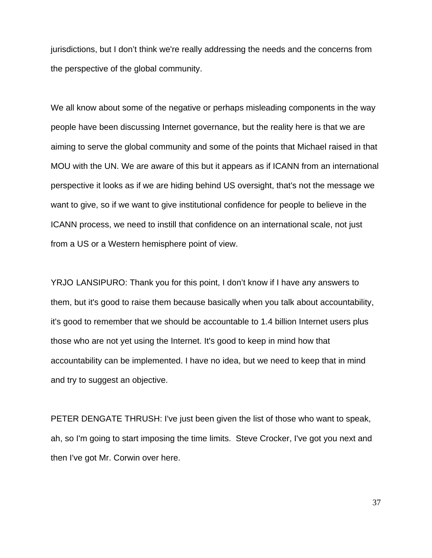jurisdictions, but I don't think we're really addressing the needs and the concerns from the perspective of the global community.

We all know about some of the negative or perhaps misleading components in the way people have been discussing Internet governance, but the reality here is that we are aiming to serve the global community and some of the points that Michael raised in that MOU with the UN. We are aware of this but it appears as if ICANN from an international perspective it looks as if we are hiding behind US oversight, that's not the message we want to give, so if we want to give institutional confidence for people to believe in the ICANN process, we need to instill that confidence on an international scale, not just from a US or a Western hemisphere point of view.

YRJO LANSIPURO: Thank you for this point, I don't know if I have any answers to them, but it's good to raise them because basically when you talk about accountability, it's good to remember that we should be accountable to 1.4 billion Internet users plus those who are not yet using the Internet. It's good to keep in mind how that accountability can be implemented. I have no idea, but we need to keep that in mind and try to suggest an objective.

PETER DENGATE THRUSH: I've just been given the list of those who want to speak, ah, so I'm going to start imposing the time limits. Steve Crocker, I've got you next and then I've got Mr. Corwin over here.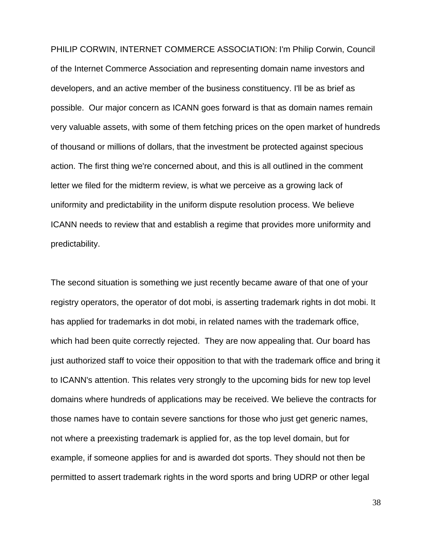PHILIP CORWIN, INTERNET COMMERCE ASSOCIATION: I'm Philip Corwin, Council of the Internet Commerce Association and representing domain name investors and developers, and an active member of the business constituency. I'll be as brief as possible. Our major concern as ICANN goes forward is that as domain names remain very valuable assets, with some of them fetching prices on the open market of hundreds of thousand or millions of dollars, that the investment be protected against specious action. The first thing we're concerned about, and this is all outlined in the comment letter we filed for the midterm review, is what we perceive as a growing lack of uniformity and predictability in the uniform dispute resolution process. We believe ICANN needs to review that and establish a regime that provides more uniformity and predictability.

The second situation is something we just recently became aware of that one of your registry operators, the operator of dot mobi, is asserting trademark rights in dot mobi. It has applied for trademarks in dot mobi, in related names with the trademark office, which had been quite correctly rejected. They are now appealing that. Our board has just authorized staff to voice their opposition to that with the trademark office and bring it to ICANN's attention. This relates very strongly to the upcoming bids for new top level domains where hundreds of applications may be received. We believe the contracts for those names have to contain severe sanctions for those who just get generic names, not where a preexisting trademark is applied for, as the top level domain, but for example, if someone applies for and is awarded dot sports. They should not then be permitted to assert trademark rights in the word sports and bring UDRP or other legal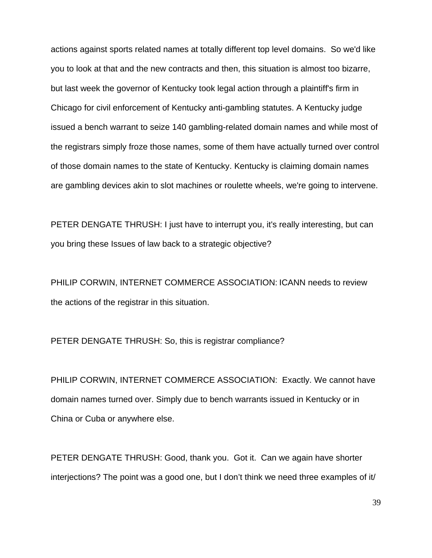actions against sports related names at totally different top level domains. So we'd like you to look at that and the new contracts and then, this situation is almost too bizarre, but last week the governor of Kentucky took legal action through a plaintiff's firm in Chicago for civil enforcement of Kentucky anti-gambling statutes. A Kentucky judge issued a bench warrant to seize 140 gambling-related domain names and while most of the registrars simply froze those names, some of them have actually turned over control of those domain names to the state of Kentucky. Kentucky is claiming domain names are gambling devices akin to slot machines or roulette wheels, we're going to intervene.

PETER DENGATE THRUSH: I just have to interrupt you, it's really interesting, but can you bring these Issues of law back to a strategic objective?

PHILIP CORWIN, INTERNET COMMERCE ASSOCIATION: ICANN needs to review the actions of the registrar in this situation.

PETER DENGATE THRUSH: So, this is registrar compliance?

PHILIP CORWIN, INTERNET COMMERCE ASSOCIATION: Exactly. We cannot have domain names turned over. Simply due to bench warrants issued in Kentucky or in China or Cuba or anywhere else.

PETER DENGATE THRUSH: Good, thank you. Got it. Can we again have shorter interjections? The point was a good one, but I don't think we need three examples of it/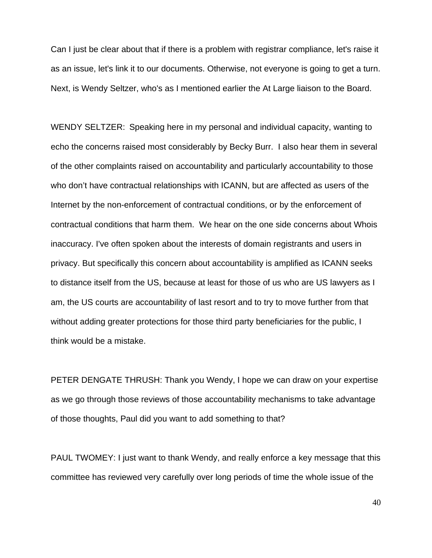Can I just be clear about that if there is a problem with registrar compliance, let's raise it as an issue, let's link it to our documents. Otherwise, not everyone is going to get a turn. Next, is Wendy Seltzer, who's as I mentioned earlier the At Large liaison to the Board.

WENDY SELTZER: Speaking here in my personal and individual capacity, wanting to echo the concerns raised most considerably by Becky Burr. I also hear them in several of the other complaints raised on accountability and particularly accountability to those who don't have contractual relationships with ICANN, but are affected as users of the Internet by the non-enforcement of contractual conditions, or by the enforcement of contractual conditions that harm them. We hear on the one side concerns about Whois inaccuracy. I've often spoken about the interests of domain registrants and users in privacy. But specifically this concern about accountability is amplified as ICANN seeks to distance itself from the US, because at least for those of us who are US lawyers as I am, the US courts are accountability of last resort and to try to move further from that without adding greater protections for those third party beneficiaries for the public, I think would be a mistake.

PETER DENGATE THRUSH: Thank you Wendy, I hope we can draw on your expertise as we go through those reviews of those accountability mechanisms to take advantage of those thoughts, Paul did you want to add something to that?

PAUL TWOMEY: I just want to thank Wendy, and really enforce a key message that this committee has reviewed very carefully over long periods of time the whole issue of the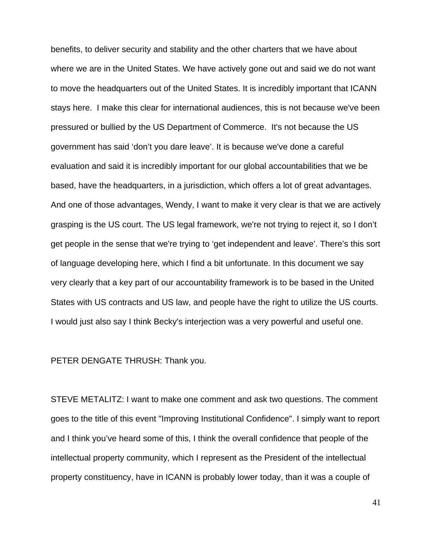benefits, to deliver security and stability and the other charters that we have about where we are in the United States. We have actively gone out and said we do not want to move the headquarters out of the United States. It is incredibly important that ICANN stays here. I make this clear for international audiences, this is not because we've been pressured or bullied by the US Department of Commerce. It's not because the US government has said 'don't you dare leave'. It is because we've done a careful evaluation and said it is incredibly important for our global accountabilities that we be based, have the headquarters, in a jurisdiction, which offers a lot of great advantages. And one of those advantages, Wendy, I want to make it very clear is that we are actively grasping is the US court. The US legal framework, we're not trying to reject it, so I don't get people in the sense that we're trying to 'get independent and leave'. There's this sort of language developing here, which I find a bit unfortunate. In this document we say very clearly that a key part of our accountability framework is to be based in the United States with US contracts and US law, and people have the right to utilize the US courts. I would just also say I think Becky's interjection was a very powerful and useful one.

PETER DENGATE THRUSH: Thank you.

STEVE METALITZ: I want to make one comment and ask two questions. The comment goes to the title of this event "Improving Institutional Confidence". I simply want to report and I think you've heard some of this, I think the overall confidence that people of the intellectual property community, which I represent as the President of the intellectual property constituency, have in ICANN is probably lower today, than it was a couple of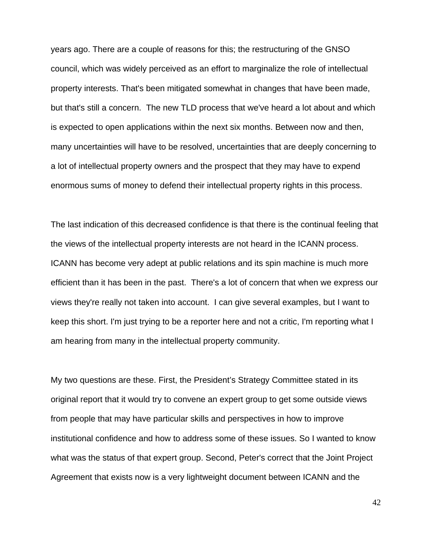years ago. There are a couple of reasons for this; the restructuring of the GNSO council, which was widely perceived as an effort to marginalize the role of intellectual property interests. That's been mitigated somewhat in changes that have been made, but that's still a concern. The new TLD process that we've heard a lot about and which is expected to open applications within the next six months. Between now and then, many uncertainties will have to be resolved, uncertainties that are deeply concerning to a lot of intellectual property owners and the prospect that they may have to expend enormous sums of money to defend their intellectual property rights in this process.

The last indication of this decreased confidence is that there is the continual feeling that the views of the intellectual property interests are not heard in the ICANN process. ICANN has become very adept at public relations and its spin machine is much more efficient than it has been in the past. There's a lot of concern that when we express our views they're really not taken into account. I can give several examples, but I want to keep this short. I'm just trying to be a reporter here and not a critic, I'm reporting what I am hearing from many in the intellectual property community.

My two questions are these. First, the President's Strategy Committee stated in its original report that it would try to convene an expert group to get some outside views from people that may have particular skills and perspectives in how to improve institutional confidence and how to address some of these issues. So I wanted to know what was the status of that expert group. Second, Peter's correct that the Joint Project Agreement that exists now is a very lightweight document between ICANN and the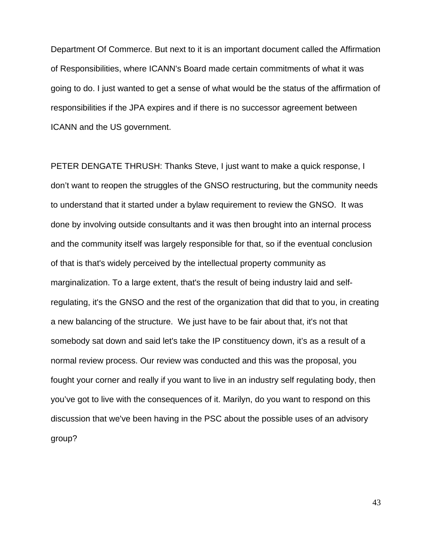Department Of Commerce. But next to it is an important document called the Affirmation of Responsibilities, where ICANN's Board made certain commitments of what it was going to do. I just wanted to get a sense of what would be the status of the affirmation of responsibilities if the JPA expires and if there is no successor agreement between ICANN and the US government.

PETER DENGATE THRUSH: Thanks Steve, I just want to make a quick response, I don't want to reopen the struggles of the GNSO restructuring, but the community needs to understand that it started under a bylaw requirement to review the GNSO. It was done by involving outside consultants and it was then brought into an internal process and the community itself was largely responsible for that, so if the eventual conclusion of that is that's widely perceived by the intellectual property community as marginalization. To a large extent, that's the result of being industry laid and selfregulating, it's the GNSO and the rest of the organization that did that to you, in creating a new balancing of the structure. We just have to be fair about that, it's not that somebody sat down and said let's take the IP constituency down, it's as a result of a normal review process. Our review was conducted and this was the proposal, you fought your corner and really if you want to live in an industry self regulating body, then you've got to live with the consequences of it. Marilyn, do you want to respond on this discussion that we've been having in the PSC about the possible uses of an advisory group?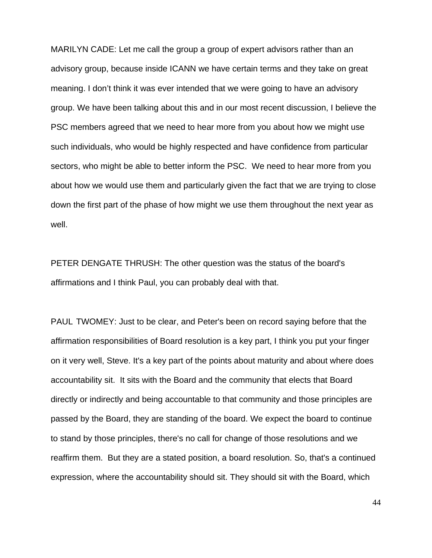MARILYN CADE: Let me call the group a group of expert advisors rather than an advisory group, because inside ICANN we have certain terms and they take on great meaning. I don't think it was ever intended that we were going to have an advisory group. We have been talking about this and in our most recent discussion, I believe the PSC members agreed that we need to hear more from you about how we might use such individuals, who would be highly respected and have confidence from particular sectors, who might be able to better inform the PSC. We need to hear more from you about how we would use them and particularly given the fact that we are trying to close down the first part of the phase of how might we use them throughout the next year as well.

PETER DENGATE THRUSH: The other question was the status of the board's affirmations and I think Paul, you can probably deal with that.

PAUL TWOMEY: Just to be clear, and Peter's been on record saying before that the affirmation responsibilities of Board resolution is a key part, I think you put your finger on it very well, Steve. It's a key part of the points about maturity and about where does accountability sit. It sits with the Board and the community that elects that Board directly or indirectly and being accountable to that community and those principles are passed by the Board, they are standing of the board. We expect the board to continue to stand by those principles, there's no call for change of those resolutions and we reaffirm them. But they are a stated position, a board resolution. So, that's a continued expression, where the accountability should sit. They should sit with the Board, which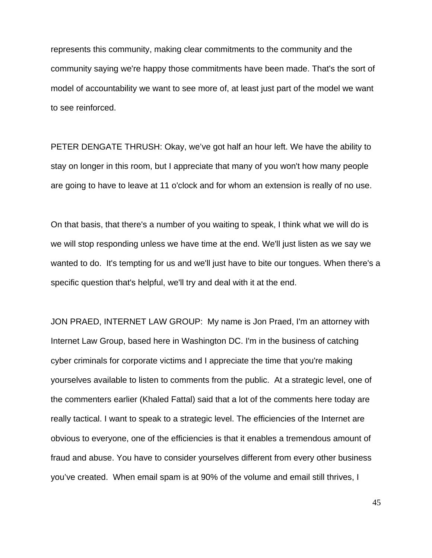represents this community, making clear commitments to the community and the community saying we're happy those commitments have been made. That's the sort of model of accountability we want to see more of, at least just part of the model we want to see reinforced.

PETER DENGATE THRUSH: Okay, we've got half an hour left. We have the ability to stay on longer in this room, but I appreciate that many of you won't how many people are going to have to leave at 11 o'clock and for whom an extension is really of no use.

On that basis, that there's a number of you waiting to speak, I think what we will do is we will stop responding unless we have time at the end. We'll just listen as we say we wanted to do. It's tempting for us and we'll just have to bite our tongues. When there's a specific question that's helpful, we'll try and deal with it at the end.

JON PRAED, INTERNET LAW GROUP: My name is Jon Praed, I'm an attorney with Internet Law Group, based here in Washington DC. I'm in the business of catching cyber criminals for corporate victims and I appreciate the time that you're making yourselves available to listen to comments from the public. At a strategic level, one of the commenters earlier (Khaled Fattal) said that a lot of the comments here today are really tactical. I want to speak to a strategic level. The efficiencies of the Internet are obvious to everyone, one of the efficiencies is that it enables a tremendous amount of fraud and abuse. You have to consider yourselves different from every other business you've created. When email spam is at 90% of the volume and email still thrives, I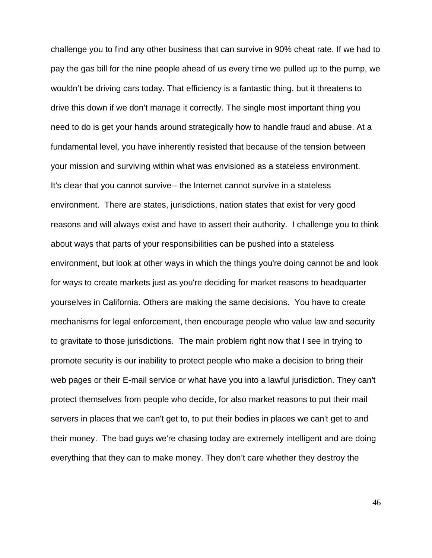challenge you to find any other business that can survive in 90% cheat rate. If we had to pay the gas bill for the nine people ahead of us every time we pulled up to the pump, we wouldn't be driving cars today. That efficiency is a fantastic thing, but it threatens to drive this down if we don't manage it correctly. The single most important thing you need to do is get your hands around strategically how to handle fraud and abuse. At a fundamental level, you have inherently resisted that because of the tension between your mission and surviving within what was envisioned as a stateless environment. It's clear that you cannot survive-- the Internet cannot survive in a stateless environment. There are states, jurisdictions, nation states that exist for very good reasons and will always exist and have to assert their authority. I challenge you to think about ways that parts of your responsibilities can be pushed into a stateless environment, but look at other ways in which the things you're doing cannot be and look for ways to create markets just as you're deciding for market reasons to headquarter yourselves in California. Others are making the same decisions. You have to create mechanisms for legal enforcement, then encourage people who value law and security to gravitate to those jurisdictions. The main problem right now that I see in trying to promote security is our inability to protect people who make a decision to bring their web pages or their E-mail service or what have you into a lawful jurisdiction. They can't protect themselves from people who decide, for also market reasons to put their mail servers in places that we can't get to, to put their bodies in places we can't get to and their money. The bad guys we're chasing today are extremely intelligent and are doing everything that they can to make money. They don't care whether they destroy the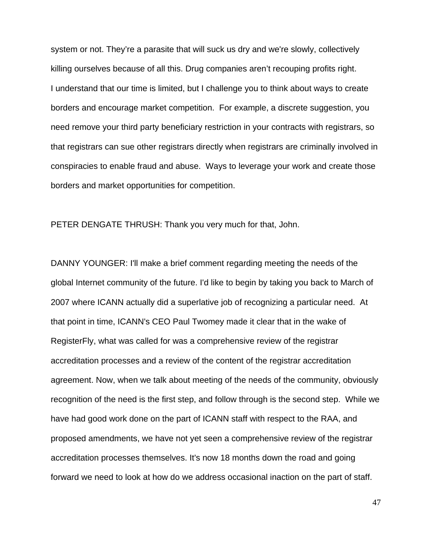system or not. They're a parasite that will suck us dry and we're slowly, collectively killing ourselves because of all this. Drug companies aren't recouping profits right. I understand that our time is limited, but I challenge you to think about ways to create borders and encourage market competition. For example, a discrete suggestion, you need remove your third party beneficiary restriction in your contracts with registrars, so that registrars can sue other registrars directly when registrars are criminally involved in conspiracies to enable fraud and abuse. Ways to leverage your work and create those borders and market opportunities for competition.

PETER DENGATE THRUSH: Thank you very much for that, John.

DANNY YOUNGER: I'll make a brief comment regarding meeting the needs of the global Internet community of the future. I'd like to begin by taking you back to March of 2007 where ICANN actually did a superlative job of recognizing a particular need. At that point in time, ICANN's CEO Paul Twomey made it clear that in the wake of RegisterFly, what was called for was a comprehensive review of the registrar accreditation processes and a review of the content of the registrar accreditation agreement. Now, when we talk about meeting of the needs of the community, obviously recognition of the need is the first step, and follow through is the second step. While we have had good work done on the part of ICANN staff with respect to the RAA, and proposed amendments, we have not yet seen a comprehensive review of the registrar accreditation processes themselves. It's now 18 months down the road and going forward we need to look at how do we address occasional inaction on the part of staff.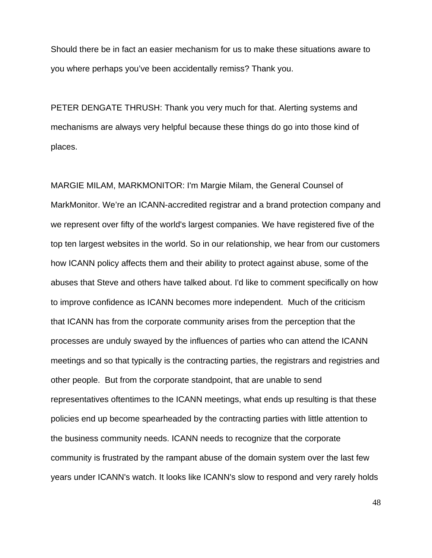Should there be in fact an easier mechanism for us to make these situations aware to you where perhaps you've been accidentally remiss? Thank you.

PETER DENGATE THRUSH: Thank you very much for that. Alerting systems and mechanisms are always very helpful because these things do go into those kind of places.

MARGIE MILAM, MARKMONITOR: I'm Margie Milam, the General Counsel of MarkMonitor. We're an ICANN-accredited registrar and a brand protection company and we represent over fifty of the world's largest companies. We have registered five of the top ten largest websites in the world. So in our relationship, we hear from our customers how ICANN policy affects them and their ability to protect against abuse, some of the abuses that Steve and others have talked about. I'd like to comment specifically on how to improve confidence as ICANN becomes more independent. Much of the criticism that ICANN has from the corporate community arises from the perception that the processes are unduly swayed by the influences of parties who can attend the ICANN meetings and so that typically is the contracting parties, the registrars and registries and other people. But from the corporate standpoint, that are unable to send representatives oftentimes to the ICANN meetings, what ends up resulting is that these policies end up become spearheaded by the contracting parties with little attention to the business community needs. ICANN needs to recognize that the corporate community is frustrated by the rampant abuse of the domain system over the last few years under ICANN's watch. It looks like ICANN's slow to respond and very rarely holds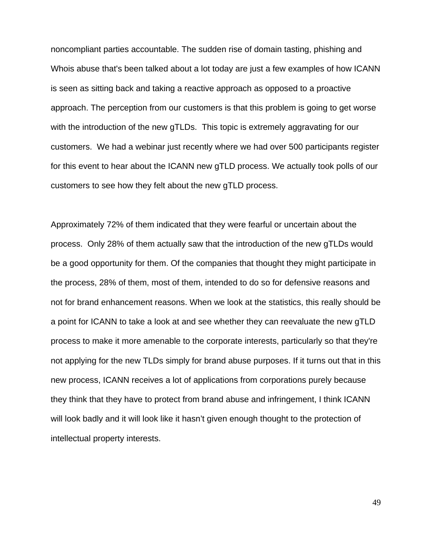noncompliant parties accountable. The sudden rise of domain tasting, phishing and Whois abuse that's been talked about a lot today are just a few examples of how ICANN is seen as sitting back and taking a reactive approach as opposed to a proactive approach. The perception from our customers is that this problem is going to get worse with the introduction of the new gTLDs. This topic is extremely aggravating for our customers. We had a webinar just recently where we had over 500 participants register for this event to hear about the ICANN new gTLD process. We actually took polls of our customers to see how they felt about the new gTLD process.

Approximately 72% of them indicated that they were fearful or uncertain about the process. Only 28% of them actually saw that the introduction of the new gTLDs would be a good opportunity for them. Of the companies that thought they might participate in the process, 28% of them, most of them, intended to do so for defensive reasons and not for brand enhancement reasons. When we look at the statistics, this really should be a point for ICANN to take a look at and see whether they can reevaluate the new gTLD process to make it more amenable to the corporate interests, particularly so that they're not applying for the new TLDs simply for brand abuse purposes. If it turns out that in this new process, ICANN receives a lot of applications from corporations purely because they think that they have to protect from brand abuse and infringement, I think ICANN will look badly and it will look like it hasn't given enough thought to the protection of intellectual property interests.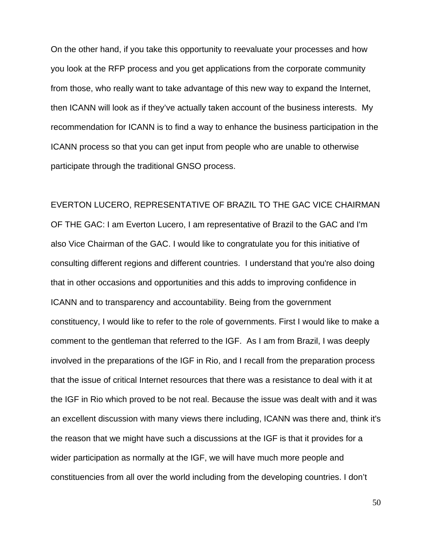On the other hand, if you take this opportunity to reevaluate your processes and how you look at the RFP process and you get applications from the corporate community from those, who really want to take advantage of this new way to expand the Internet, then ICANN will look as if they've actually taken account of the business interests. My recommendation for ICANN is to find a way to enhance the business participation in the ICANN process so that you can get input from people who are unable to otherwise participate through the traditional GNSO process.

EVERTON LUCERO, REPRESENTATIVE OF BRAZIL TO THE GAC VICE CHAIRMAN OF THE GAC: I am Everton Lucero, I am representative of Brazil to the GAC and I'm also Vice Chairman of the GAC. I would like to congratulate you for this initiative of consulting different regions and different countries. I understand that you're also doing that in other occasions and opportunities and this adds to improving confidence in ICANN and to transparency and accountability. Being from the government constituency, I would like to refer to the role of governments. First I would like to make a comment to the gentleman that referred to the IGF. As I am from Brazil, I was deeply involved in the preparations of the IGF in Rio, and I recall from the preparation process that the issue of critical Internet resources that there was a resistance to deal with it at the IGF in Rio which proved to be not real. Because the issue was dealt with and it was an excellent discussion with many views there including, ICANN was there and, think it's the reason that we might have such a discussions at the IGF is that it provides for a wider participation as normally at the IGF, we will have much more people and constituencies from all over the world including from the developing countries. I don't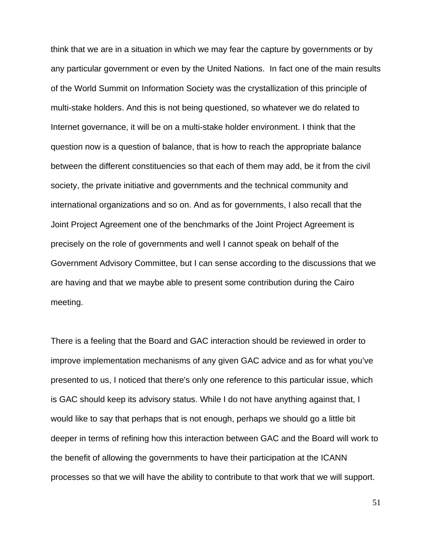think that we are in a situation in which we may fear the capture by governments or by any particular government or even by the United Nations. In fact one of the main results of the World Summit on Information Society was the crystallization of this principle of multi-stake holders. And this is not being questioned, so whatever we do related to Internet governance, it will be on a multi-stake holder environment. I think that the question now is a question of balance, that is how to reach the appropriate balance between the different constituencies so that each of them may add, be it from the civil society, the private initiative and governments and the technical community and international organizations and so on. And as for governments, I also recall that the Joint Project Agreement one of the benchmarks of the Joint Project Agreement is precisely on the role of governments and well I cannot speak on behalf of the Government Advisory Committee, but I can sense according to the discussions that we are having and that we maybe able to present some contribution during the Cairo meeting.

There is a feeling that the Board and GAC interaction should be reviewed in order to improve implementation mechanisms of any given GAC advice and as for what you've presented to us, I noticed that there's only one reference to this particular issue, which is GAC should keep its advisory status. While I do not have anything against that, I would like to say that perhaps that is not enough, perhaps we should go a little bit deeper in terms of refining how this interaction between GAC and the Board will work to the benefit of allowing the governments to have their participation at the ICANN processes so that we will have the ability to contribute to that work that we will support.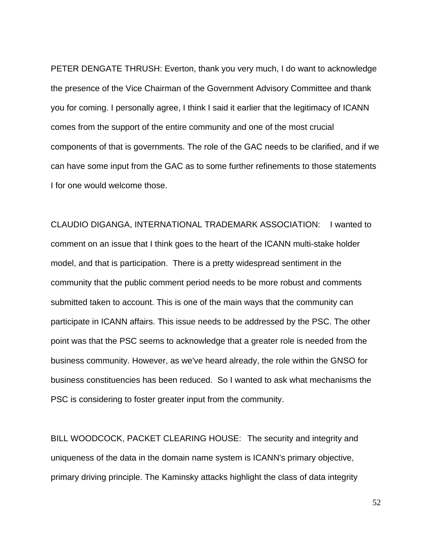PETER DENGATE THRUSH: Everton, thank you very much, I do want to acknowledge the presence of the Vice Chairman of the Government Advisory Committee and thank you for coming. I personally agree, I think I said it earlier that the legitimacy of ICANN comes from the support of the entire community and one of the most crucial components of that is governments. The role of the GAC needs to be clarified, and if we can have some input from the GAC as to some further refinements to those statements I for one would welcome those.

CLAUDIO DIGANGA, INTERNATIONAL TRADEMARK ASSOCIATION: I wanted to comment on an issue that I think goes to the heart of the ICANN multi-stake holder model, and that is participation. There is a pretty widespread sentiment in the community that the public comment period needs to be more robust and comments submitted taken to account. This is one of the main ways that the community can participate in ICANN affairs. This issue needs to be addressed by the PSC. The other point was that the PSC seems to acknowledge that a greater role is needed from the business community. However, as we've heard already, the role within the GNSO for business constituencies has been reduced. So I wanted to ask what mechanisms the PSC is considering to foster greater input from the community.

BILL WOODCOCK, PACKET CLEARING HOUSE: The security and integrity and uniqueness of the data in the domain name system is ICANN's primary objective, primary driving principle. The Kaminsky attacks highlight the class of data integrity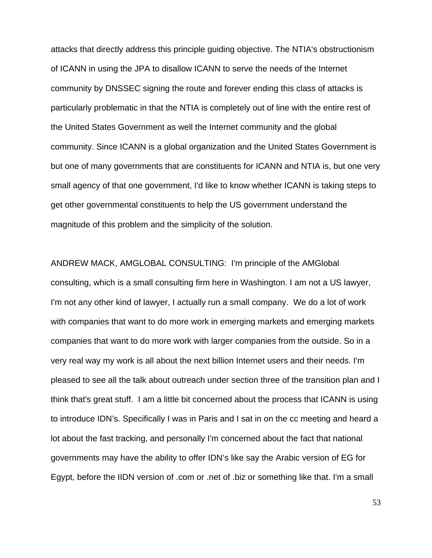attacks that directly address this principle guiding objective. The NTIA's obstructionism of ICANN in using the JPA to disallow ICANN to serve the needs of the Internet community by DNSSEC signing the route and forever ending this class of attacks is particularly problematic in that the NTIA is completely out of line with the entire rest of the United States Government as well the Internet community and the global community. Since ICANN is a global organization and the United States Government is but one of many governments that are constituents for ICANN and NTIA is, but one very small agency of that one government, I'd like to know whether ICANN is taking steps to get other governmental constituents to help the US government understand the magnitude of this problem and the simplicity of the solution.

ANDREW MACK, AMGLOBAL CONSULTING: I'm principle of the AMGlobal consulting, which is a small consulting firm here in Washington. I am not a US lawyer, I'm not any other kind of lawyer, I actually run a small company. We do a lot of work with companies that want to do more work in emerging markets and emerging markets companies that want to do more work with larger companies from the outside. So in a very real way my work is all about the next billion Internet users and their needs. I'm pleased to see all the talk about outreach under section three of the transition plan and I think that's great stuff. I am a little bit concerned about the process that ICANN is using to introduce IDN's. Specifically I was in Paris and I sat in on the cc meeting and heard a lot about the fast tracking, and personally I'm concerned about the fact that national governments may have the ability to offer IDN's like say the Arabic version of EG for Egypt, before the IIDN version of .com or .net of .biz or something like that. I'm a small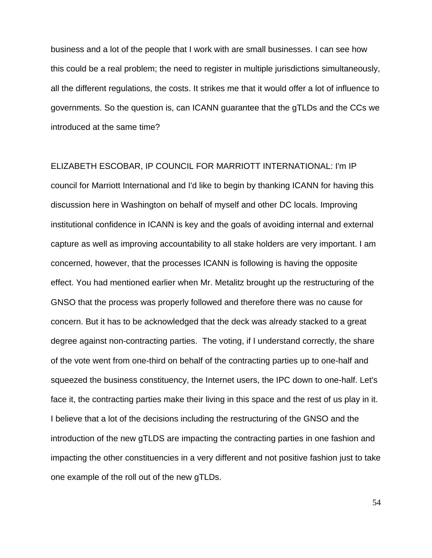business and a lot of the people that I work with are small businesses. I can see how this could be a real problem; the need to register in multiple jurisdictions simultaneously, all the different regulations, the costs. It strikes me that it would offer a lot of influence to governments. So the question is, can ICANN guarantee that the gTLDs and the CCs we introduced at the same time?

ELIZABETH ESCOBAR, IP COUNCIL FOR MARRIOTT INTERNATIONAL: I'm IP council for Marriott International and I'd like to begin by thanking ICANN for having this discussion here in Washington on behalf of myself and other DC locals. Improving institutional confidence in ICANN is key and the goals of avoiding internal and external capture as well as improving accountability to all stake holders are very important. I am concerned, however, that the processes ICANN is following is having the opposite effect. You had mentioned earlier when Mr. Metalitz brought up the restructuring of the GNSO that the process was properly followed and therefore there was no cause for concern. But it has to be acknowledged that the deck was already stacked to a great degree against non-contracting parties. The voting, if I understand correctly, the share of the vote went from one-third on behalf of the contracting parties up to one-half and squeezed the business constituency, the Internet users, the IPC down to one-half. Let's face it, the contracting parties make their living in this space and the rest of us play in it. I believe that a lot of the decisions including the restructuring of the GNSO and the introduction of the new gTLDS are impacting the contracting parties in one fashion and impacting the other constituencies in a very different and not positive fashion just to take one example of the roll out of the new gTLDs.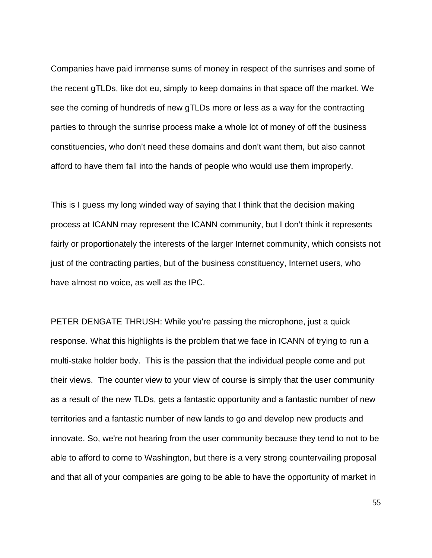Companies have paid immense sums of money in respect of the sunrises and some of the recent gTLDs, like dot eu, simply to keep domains in that space off the market. We see the coming of hundreds of new gTLDs more or less as a way for the contracting parties to through the sunrise process make a whole lot of money of off the business constituencies, who don't need these domains and don't want them, but also cannot afford to have them fall into the hands of people who would use them improperly.

This is I guess my long winded way of saying that I think that the decision making process at ICANN may represent the ICANN community, but I don't think it represents fairly or proportionately the interests of the larger Internet community, which consists not just of the contracting parties, but of the business constituency, Internet users, who have almost no voice, as well as the IPC.

PETER DENGATE THRUSH: While you're passing the microphone, just a quick response. What this highlights is the problem that we face in ICANN of trying to run a multi-stake holder body. This is the passion that the individual people come and put their views. The counter view to your view of course is simply that the user community as a result of the new TLDs, gets a fantastic opportunity and a fantastic number of new territories and a fantastic number of new lands to go and develop new products and innovate. So, we're not hearing from the user community because they tend to not to be able to afford to come to Washington, but there is a very strong countervailing proposal and that all of your companies are going to be able to have the opportunity of market in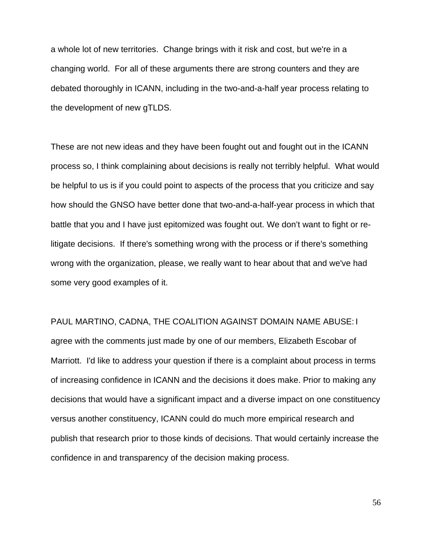a whole lot of new territories. Change brings with it risk and cost, but we're in a changing world. For all of these arguments there are strong counters and they are debated thoroughly in ICANN, including in the two-and-a-half year process relating to the development of new gTLDS.

These are not new ideas and they have been fought out and fought out in the ICANN process so, I think complaining about decisions is really not terribly helpful. What would be helpful to us is if you could point to aspects of the process that you criticize and say how should the GNSO have better done that two-and-a-half-year process in which that battle that you and I have just epitomized was fought out. We don't want to fight or relitigate decisions. If there's something wrong with the process or if there's something wrong with the organization, please, we really want to hear about that and we've had some very good examples of it.

PAUL MARTINO, CADNA, THE COALITION AGAINST DOMAIN NAME ABUSE: I agree with the comments just made by one of our members, Elizabeth Escobar of Marriott. I'd like to address your question if there is a complaint about process in terms of increasing confidence in ICANN and the decisions it does make. Prior to making any decisions that would have a significant impact and a diverse impact on one constituency versus another constituency, ICANN could do much more empirical research and publish that research prior to those kinds of decisions. That would certainly increase the confidence in and transparency of the decision making process.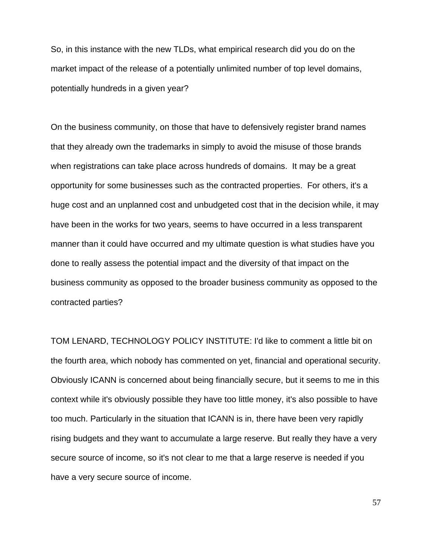So, in this instance with the new TLDs, what empirical research did you do on the market impact of the release of a potentially unlimited number of top level domains, potentially hundreds in a given year?

On the business community, on those that have to defensively register brand names that they already own the trademarks in simply to avoid the misuse of those brands when registrations can take place across hundreds of domains. It may be a great opportunity for some businesses such as the contracted properties. For others, it's a huge cost and an unplanned cost and unbudgeted cost that in the decision while, it may have been in the works for two years, seems to have occurred in a less transparent manner than it could have occurred and my ultimate question is what studies have you done to really assess the potential impact and the diversity of that impact on the business community as opposed to the broader business community as opposed to the contracted parties?

TOM LENARD, TECHNOLOGY POLICY INSTITUTE: I'd like to comment a little bit on the fourth area, which nobody has commented on yet, financial and operational security. Obviously ICANN is concerned about being financially secure, but it seems to me in this context while it's obviously possible they have too little money, it's also possible to have too much. Particularly in the situation that ICANN is in, there have been very rapidly rising budgets and they want to accumulate a large reserve. But really they have a very secure source of income, so it's not clear to me that a large reserve is needed if you have a very secure source of income.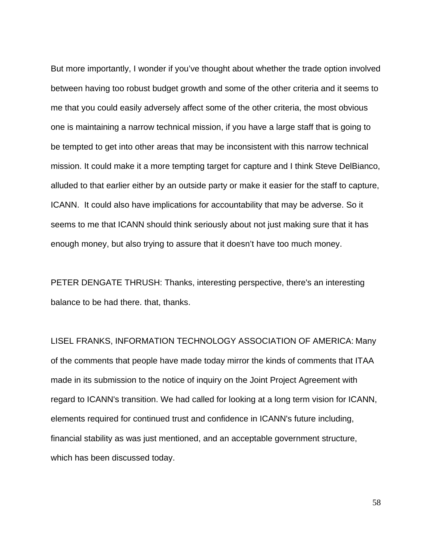But more importantly, I wonder if you've thought about whether the trade option involved between having too robust budget growth and some of the other criteria and it seems to me that you could easily adversely affect some of the other criteria, the most obvious one is maintaining a narrow technical mission, if you have a large staff that is going to be tempted to get into other areas that may be inconsistent with this narrow technical mission. It could make it a more tempting target for capture and I think Steve DelBianco, alluded to that earlier either by an outside party or make it easier for the staff to capture, ICANN. It could also have implications for accountability that may be adverse. So it seems to me that ICANN should think seriously about not just making sure that it has enough money, but also trying to assure that it doesn't have too much money.

PETER DENGATE THRUSH: Thanks, interesting perspective, there's an interesting balance to be had there. that, thanks.

LISEL FRANKS, INFORMATION TECHNOLOGY ASSOCIATION OF AMERICA: Many of the comments that people have made today mirror the kinds of comments that ITAA made in its submission to the notice of inquiry on the Joint Project Agreement with regard to ICANN's transition. We had called for looking at a long term vision for ICANN, elements required for continued trust and confidence in ICANN's future including, financial stability as was just mentioned, and an acceptable government structure, which has been discussed today.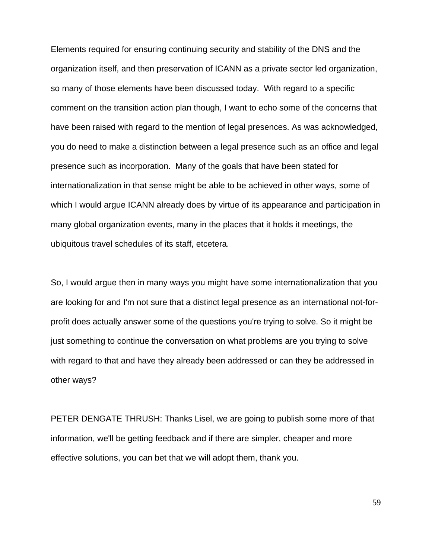Elements required for ensuring continuing security and stability of the DNS and the organization itself, and then preservation of ICANN as a private sector led organization, so many of those elements have been discussed today. With regard to a specific comment on the transition action plan though, I want to echo some of the concerns that have been raised with regard to the mention of legal presences. As was acknowledged, you do need to make a distinction between a legal presence such as an office and legal presence such as incorporation. Many of the goals that have been stated for internationalization in that sense might be able to be achieved in other ways, some of which I would argue ICANN already does by virtue of its appearance and participation in many global organization events, many in the places that it holds it meetings, the ubiquitous travel schedules of its staff, etcetera.

So, I would argue then in many ways you might have some internationalization that you are looking for and I'm not sure that a distinct legal presence as an international not-forprofit does actually answer some of the questions you're trying to solve. So it might be just something to continue the conversation on what problems are you trying to solve with regard to that and have they already been addressed or can they be addressed in other ways?

PETER DENGATE THRUSH: Thanks Lisel, we are going to publish some more of that information, we'll be getting feedback and if there are simpler, cheaper and more effective solutions, you can bet that we will adopt them, thank you.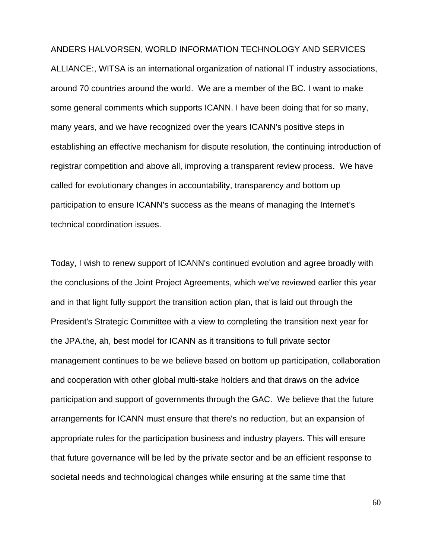## ANDERS HALVORSEN, WORLD INFORMATION TECHNOLOGY AND SERVICES

ALLIANCE:, WITSA is an international organization of national IT industry associations, around 70 countries around the world. We are a member of the BC. I want to make some general comments which supports ICANN. I have been doing that for so many, many years, and we have recognized over the years ICANN's positive steps in establishing an effective mechanism for dispute resolution, the continuing introduction of registrar competition and above all, improving a transparent review process. We have called for evolutionary changes in accountability, transparency and bottom up participation to ensure ICANN's success as the means of managing the Internet's technical coordination issues.

Today, I wish to renew support of ICANN's continued evolution and agree broadly with the conclusions of the Joint Project Agreements, which we've reviewed earlier this year and in that light fully support the transition action plan, that is laid out through the President's Strategic Committee with a view to completing the transition next year for the JPA.the, ah, best model for ICANN as it transitions to full private sector management continues to be we believe based on bottom up participation, collaboration and cooperation with other global multi-stake holders and that draws on the advice participation and support of governments through the GAC. We believe that the future arrangements for ICANN must ensure that there's no reduction, but an expansion of appropriate rules for the participation business and industry players. This will ensure that future governance will be led by the private sector and be an efficient response to societal needs and technological changes while ensuring at the same time that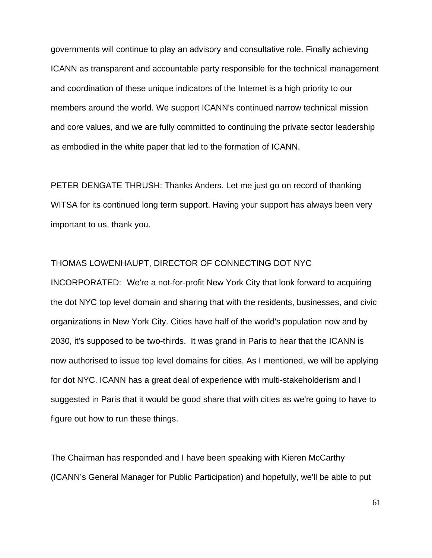governments will continue to play an advisory and consultative role. Finally achieving ICANN as transparent and accountable party responsible for the technical management and coordination of these unique indicators of the Internet is a high priority to our members around the world. We support ICANN's continued narrow technical mission and core values, and we are fully committed to continuing the private sector leadership as embodied in the white paper that led to the formation of ICANN.

PETER DENGATE THRUSH: Thanks Anders. Let me just go on record of thanking WITSA for its continued long term support. Having your support has always been very important to us, thank you.

## THOMAS LOWENHAUPT, DIRECTOR OF CONNECTING DOT NYC

INCORPORATED: We're a not-for-profit New York City that look forward to acquiring the dot NYC top level domain and sharing that with the residents, businesses, and civic organizations in New York City. Cities have half of the world's population now and by 2030, it's supposed to be two-thirds. It was grand in Paris to hear that the ICANN is now authorised to issue top level domains for cities. As I mentioned, we will be applying for dot NYC. ICANN has a great deal of experience with multi-stakeholderism and I suggested in Paris that it would be good share that with cities as we're going to have to figure out how to run these things.

The Chairman has responded and I have been speaking with Kieren McCarthy (ICANN's General Manager for Public Participation) and hopefully, we'll be able to put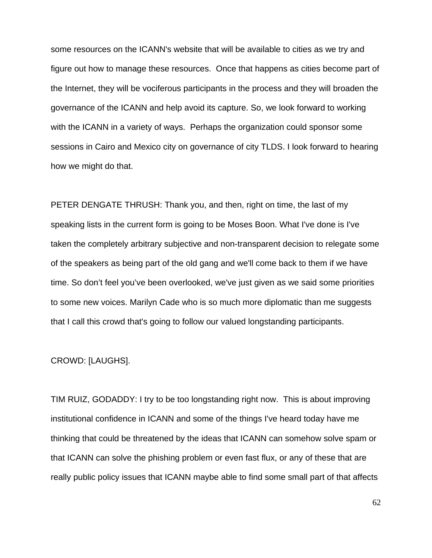some resources on the ICANN's website that will be available to cities as we try and figure out how to manage these resources. Once that happens as cities become part of the Internet, they will be vociferous participants in the process and they will broaden the governance of the ICANN and help avoid its capture. So, we look forward to working with the ICANN in a variety of ways. Perhaps the organization could sponsor some sessions in Cairo and Mexico city on governance of city TLDS. I look forward to hearing how we might do that.

PETER DENGATE THRUSH: Thank you, and then, right on time, the last of my speaking lists in the current form is going to be Moses Boon. What I've done is I've taken the completely arbitrary subjective and non-transparent decision to relegate some of the speakers as being part of the old gang and we'll come back to them if we have time. So don't feel you've been overlooked, we've just given as we said some priorities to some new voices. Marilyn Cade who is so much more diplomatic than me suggests that I call this crowd that's going to follow our valued longstanding participants.

## CROWD: [LAUGHS].

TIM RUIZ, GODADDY: I try to be too longstanding right now. This is about improving institutional confidence in ICANN and some of the things I've heard today have me thinking that could be threatened by the ideas that ICANN can somehow solve spam or that ICANN can solve the phishing problem or even fast flux, or any of these that are really public policy issues that ICANN maybe able to find some small part of that affects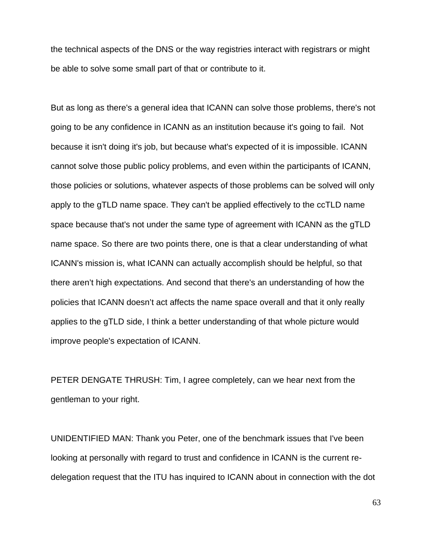the technical aspects of the DNS or the way registries interact with registrars or might be able to solve some small part of that or contribute to it.

But as long as there's a general idea that ICANN can solve those problems, there's not going to be any confidence in ICANN as an institution because it's going to fail. Not because it isn't doing it's job, but because what's expected of it is impossible. ICANN cannot solve those public policy problems, and even within the participants of ICANN, those policies or solutions, whatever aspects of those problems can be solved will only apply to the gTLD name space. They can't be applied effectively to the ccTLD name space because that's not under the same type of agreement with ICANN as the gTLD name space. So there are two points there, one is that a clear understanding of what ICANN's mission is, what ICANN can actually accomplish should be helpful, so that there aren't high expectations. And second that there's an understanding of how the policies that ICANN doesn't act affects the name space overall and that it only really applies to the gTLD side, I think a better understanding of that whole picture would improve people's expectation of ICANN.

PETER DENGATE THRUSH: Tim, I agree completely, can we hear next from the gentleman to your right.

UNIDENTIFIED MAN: Thank you Peter, one of the benchmark issues that I've been looking at personally with regard to trust and confidence in ICANN is the current redelegation request that the ITU has inquired to ICANN about in connection with the dot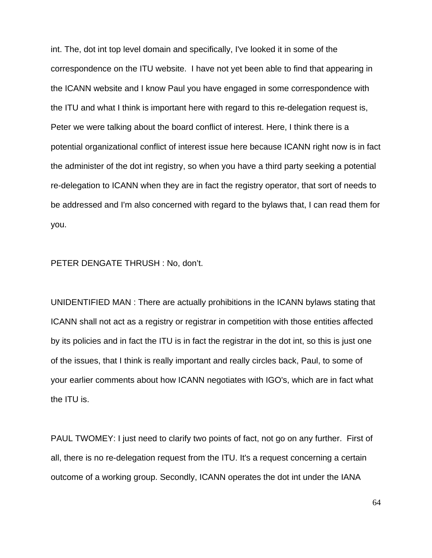int. The, dot int top level domain and specifically, I've looked it in some of the correspondence on the ITU website. I have not yet been able to find that appearing in the ICANN website and I know Paul you have engaged in some correspondence with the ITU and what I think is important here with regard to this re-delegation request is, Peter we were talking about the board conflict of interest. Here, I think there is a potential organizational conflict of interest issue here because ICANN right now is in fact the administer of the dot int registry, so when you have a third party seeking a potential re-delegation to ICANN when they are in fact the registry operator, that sort of needs to be addressed and I'm also concerned with regard to the bylaws that, I can read them for you.

PETER DENGATE THRUSH : No, don't.

UNIDENTIFIED MAN : There are actually prohibitions in the ICANN bylaws stating that ICANN shall not act as a registry or registrar in competition with those entities affected by its policies and in fact the ITU is in fact the registrar in the dot int, so this is just one of the issues, that I think is really important and really circles back, Paul, to some of your earlier comments about how ICANN negotiates with IGO's, which are in fact what the ITU is.

PAUL TWOMEY: I just need to clarify two points of fact, not go on any further. First of all, there is no re-delegation request from the ITU. It's a request concerning a certain outcome of a working group. Secondly, ICANN operates the dot int under the IANA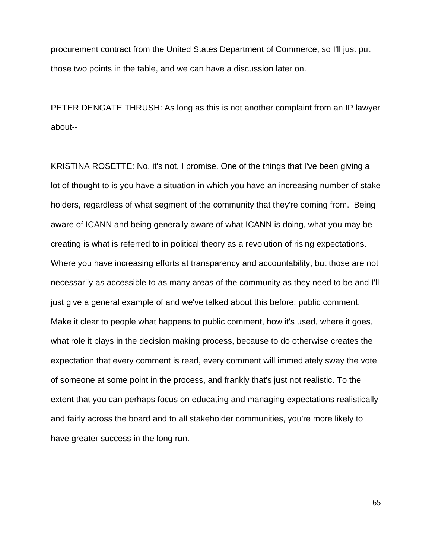procurement contract from the United States Department of Commerce, so I'll just put those two points in the table, and we can have a discussion later on.

PETER DENGATE THRUSH: As long as this is not another complaint from an IP lawyer about--

KRISTINA ROSETTE: No, it's not, I promise. One of the things that I've been giving a lot of thought to is you have a situation in which you have an increasing number of stake holders, regardless of what segment of the community that they're coming from. Being aware of ICANN and being generally aware of what ICANN is doing, what you may be creating is what is referred to in political theory as a revolution of rising expectations. Where you have increasing efforts at transparency and accountability, but those are not necessarily as accessible to as many areas of the community as they need to be and I'll just give a general example of and we've talked about this before; public comment. Make it clear to people what happens to public comment, how it's used, where it goes, what role it plays in the decision making process, because to do otherwise creates the expectation that every comment is read, every comment will immediately sway the vote of someone at some point in the process, and frankly that's just not realistic. To the extent that you can perhaps focus on educating and managing expectations realistically and fairly across the board and to all stakeholder communities, you're more likely to have greater success in the long run.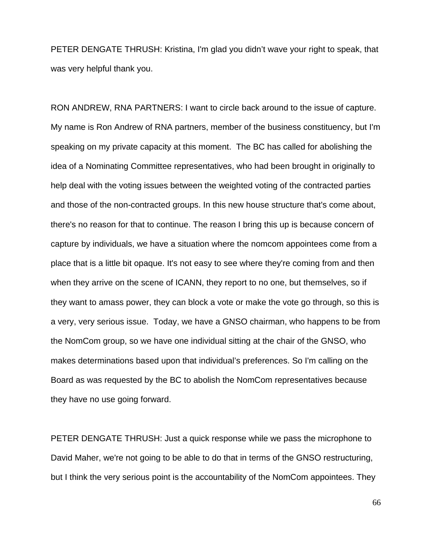PETER DENGATE THRUSH: Kristina, I'm glad you didn't wave your right to speak, that was very helpful thank you.

RON ANDREW, RNA PARTNERS: I want to circle back around to the issue of capture. My name is Ron Andrew of RNA partners, member of the business constituency, but I'm speaking on my private capacity at this moment. The BC has called for abolishing the idea of a Nominating Committee representatives, who had been brought in originally to help deal with the voting issues between the weighted voting of the contracted parties and those of the non-contracted groups. In this new house structure that's come about, there's no reason for that to continue. The reason I bring this up is because concern of capture by individuals, we have a situation where the nomcom appointees come from a place that is a little bit opaque. It's not easy to see where they're coming from and then when they arrive on the scene of ICANN, they report to no one, but themselves, so if they want to amass power, they can block a vote or make the vote go through, so this is a very, very serious issue. Today, we have a GNSO chairman, who happens to be from the NomCom group, so we have one individual sitting at the chair of the GNSO, who makes determinations based upon that individual's preferences. So I'm calling on the Board as was requested by the BC to abolish the NomCom representatives because they have no use going forward.

PETER DENGATE THRUSH: Just a quick response while we pass the microphone to David Maher, we're not going to be able to do that in terms of the GNSO restructuring, but I think the very serious point is the accountability of the NomCom appointees. They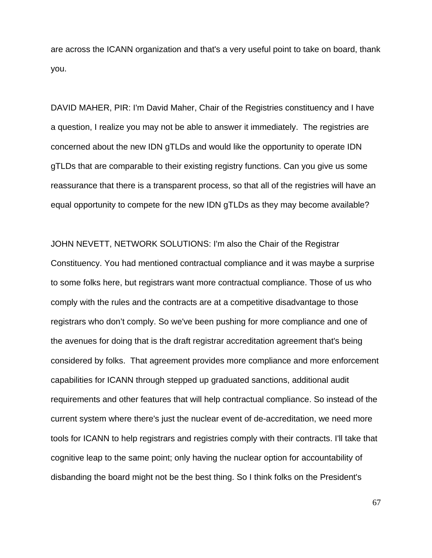are across the ICANN organization and that's a very useful point to take on board, thank you.

DAVID MAHER, PIR: I'm David Maher, Chair of the Registries constituency and I have a question, I realize you may not be able to answer it immediately. The registries are concerned about the new IDN gTLDs and would like the opportunity to operate IDN gTLDs that are comparable to their existing registry functions. Can you give us some reassurance that there is a transparent process, so that all of the registries will have an equal opportunity to compete for the new IDN gTLDs as they may become available?

JOHN NEVETT, NETWORK SOLUTIONS: I'm also the Chair of the Registrar Constituency. You had mentioned contractual compliance and it was maybe a surprise to some folks here, but registrars want more contractual compliance. Those of us who comply with the rules and the contracts are at a competitive disadvantage to those registrars who don't comply. So we've been pushing for more compliance and one of the avenues for doing that is the draft registrar accreditation agreement that's being considered by folks. That agreement provides more compliance and more enforcement capabilities for ICANN through stepped up graduated sanctions, additional audit requirements and other features that will help contractual compliance. So instead of the current system where there's just the nuclear event of de-accreditation, we need more tools for ICANN to help registrars and registries comply with their contracts. I'll take that cognitive leap to the same point; only having the nuclear option for accountability of disbanding the board might not be the best thing. So I think folks on the President's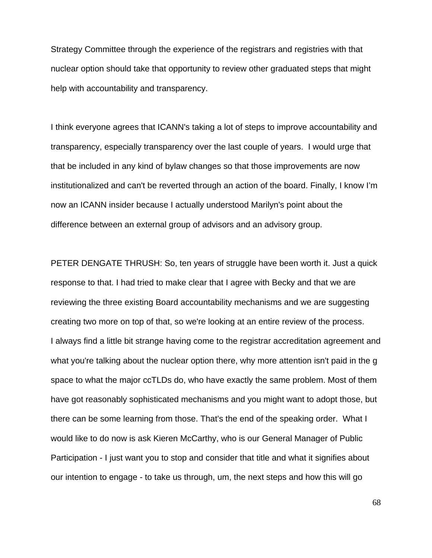Strategy Committee through the experience of the registrars and registries with that nuclear option should take that opportunity to review other graduated steps that might help with accountability and transparency.

I think everyone agrees that ICANN's taking a lot of steps to improve accountability and transparency, especially transparency over the last couple of years. I would urge that that be included in any kind of bylaw changes so that those improvements are now institutionalized and can't be reverted through an action of the board. Finally, I know I'm now an ICANN insider because I actually understood Marilyn's point about the difference between an external group of advisors and an advisory group.

PETER DENGATE THRUSH: So, ten years of struggle have been worth it. Just a quick response to that. I had tried to make clear that I agree with Becky and that we are reviewing the three existing Board accountability mechanisms and we are suggesting creating two more on top of that, so we're looking at an entire review of the process. I always find a little bit strange having come to the registrar accreditation agreement and what you're talking about the nuclear option there, why more attention isn't paid in the g space to what the major ccTLDs do, who have exactly the same problem. Most of them have got reasonably sophisticated mechanisms and you might want to adopt those, but there can be some learning from those. That's the end of the speaking order. What I would like to do now is ask Kieren McCarthy, who is our General Manager of Public Participation - I just want you to stop and consider that title and what it signifies about our intention to engage - to take us through, um, the next steps and how this will go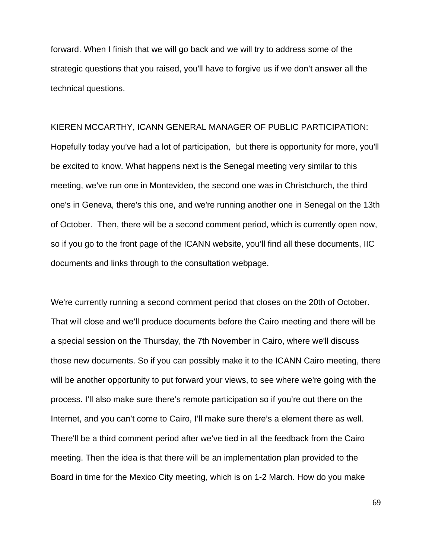forward. When I finish that we will go back and we will try to address some of the strategic questions that you raised, you'll have to forgive us if we don't answer all the technical questions.

KIEREN MCCARTHY, ICANN GENERAL MANAGER OF PUBLIC PARTICIPATION: Hopefully today you've had a lot of participation, but there is opportunity for more, you'll be excited to know. What happens next is the Senegal meeting very similar to this meeting, we've run one in Montevideo, the second one was in Christchurch, the third one's in Geneva, there's this one, and we're running another one in Senegal on the 13th of October. Then, there will be a second comment period, which is currently open now, so if you go to the front page of the ICANN website, you'll find all these documents, IIC documents and links through to the consultation webpage.

We're currently running a second comment period that closes on the 20th of October. That will close and we'll produce documents before the Cairo meeting and there will be a special session on the Thursday, the 7th November in Cairo, where we'll discuss those new documents. So if you can possibly make it to the ICANN Cairo meeting, there will be another opportunity to put forward your views, to see where we're going with the process. I'll also make sure there's remote participation so if you're out there on the Internet, and you can't come to Cairo, I'll make sure there's a element there as well. There'll be a third comment period after we've tied in all the feedback from the Cairo meeting. Then the idea is that there will be an implementation plan provided to the Board in time for the Mexico City meeting, which is on 1-2 March. How do you make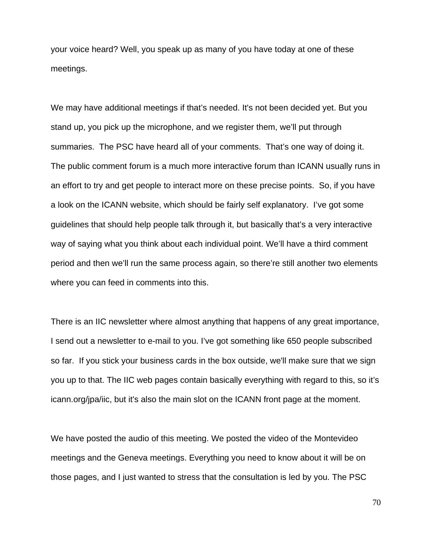your voice heard? Well, you speak up as many of you have today at one of these meetings.

We may have additional meetings if that's needed. It's not been decided yet. But you stand up, you pick up the microphone, and we register them, we'll put through summaries. The PSC have heard all of your comments. That's one way of doing it. The public comment forum is a much more interactive forum than ICANN usually runs in an effort to try and get people to interact more on these precise points. So, if you have a look on the ICANN website, which should be fairly self explanatory. I've got some guidelines that should help people talk through it, but basically that's a very interactive way of saying what you think about each individual point. We'll have a third comment period and then we'll run the same process again, so there're still another two elements where you can feed in comments into this.

There is an IIC newsletter where almost anything that happens of any great importance, I send out a newsletter to e-mail to you. I've got something like 650 people subscribed so far. If you stick your business cards in the box outside, we'll make sure that we sign you up to that. The IIC web pages contain basically everything with regard to this, so it's icann.org/jpa/iic, but it's also the main slot on the ICANN front page at the moment.

We have posted the audio of this meeting. We posted the video of the Montevideo meetings and the Geneva meetings. Everything you need to know about it will be on those pages, and I just wanted to stress that the consultation is led by you. The PSC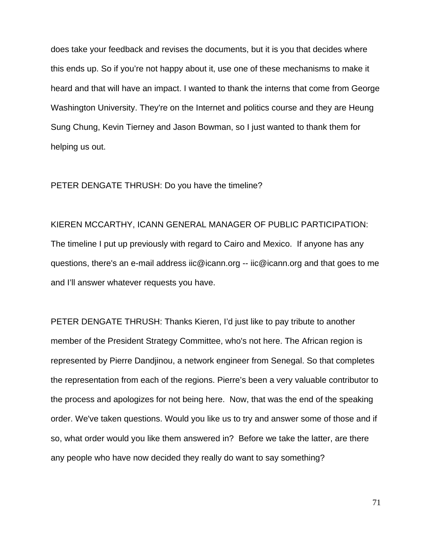does take your feedback and revises the documents, but it is you that decides where this ends up. So if you're not happy about it, use one of these mechanisms to make it heard and that will have an impact. I wanted to thank the interns that come from George Washington University. They're on the Internet and politics course and they are Heung Sung Chung, Kevin Tierney and Jason Bowman, so I just wanted to thank them for helping us out.

## PETER DENGATE THRUSH: Do you have the timeline?

KIEREN MCCARTHY, ICANN GENERAL MANAGER OF PUBLIC PARTICIPATION: The timeline I put up previously with regard to Cairo and Mexico. If anyone has any questions, there's an e-mail address iic@icann.org -- iic@icann.org and that goes to me and I'll answer whatever requests you have.

PETER DENGATE THRUSH: Thanks Kieren, I'd just like to pay tribute to another member of the President Strategy Committee, who's not here. The African region is represented by Pierre Dandjinou, a network engineer from Senegal. So that completes the representation from each of the regions. Pierre's been a very valuable contributor to the process and apologizes for not being here. Now, that was the end of the speaking order. We've taken questions. Would you like us to try and answer some of those and if so, what order would you like them answered in? Before we take the latter, are there any people who have now decided they really do want to say something?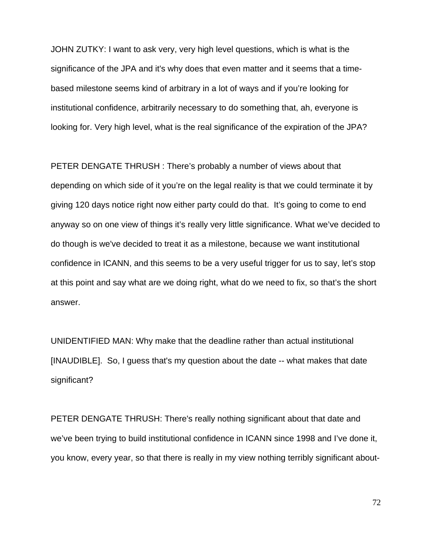JOHN ZUTKY: I want to ask very, very high level questions, which is what is the significance of the JPA and it's why does that even matter and it seems that a timebased milestone seems kind of arbitrary in a lot of ways and if you're looking for institutional confidence, arbitrarily necessary to do something that, ah, everyone is looking for. Very high level, what is the real significance of the expiration of the JPA?

PETER DENGATE THRUSH : There's probably a number of views about that depending on which side of it you're on the legal reality is that we could terminate it by giving 120 days notice right now either party could do that. It's going to come to end anyway so on one view of things it's really very little significance. What we've decided to do though is we've decided to treat it as a milestone, because we want institutional confidence in ICANN, and this seems to be a very useful trigger for us to say, let's stop at this point and say what are we doing right, what do we need to fix, so that's the short answer.

UNIDENTIFIED MAN: Why make that the deadline rather than actual institutional [INAUDIBLE]. So, I guess that's my question about the date -- what makes that date significant?

PETER DENGATE THRUSH: There's really nothing significant about that date and we've been trying to build institutional confidence in ICANN since 1998 and I've done it, you know, every year, so that there is really in my view nothing terribly significant about-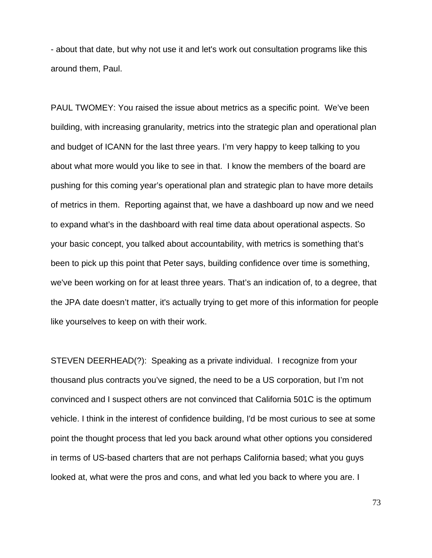- about that date, but why not use it and let's work out consultation programs like this around them, Paul.

PAUL TWOMEY: You raised the issue about metrics as a specific point. We've been building, with increasing granularity, metrics into the strategic plan and operational plan and budget of ICANN for the last three years. I'm very happy to keep talking to you about what more would you like to see in that. I know the members of the board are pushing for this coming year's operational plan and strategic plan to have more details of metrics in them. Reporting against that, we have a dashboard up now and we need to expand what's in the dashboard with real time data about operational aspects. So your basic concept, you talked about accountability, with metrics is something that's been to pick up this point that Peter says, building confidence over time is something, we've been working on for at least three years. That's an indication of, to a degree, that the JPA date doesn't matter, it's actually trying to get more of this information for people like yourselves to keep on with their work.

STEVEN DEERHEAD(?): Speaking as a private individual. I recognize from your thousand plus contracts you've signed, the need to be a US corporation, but I'm not convinced and I suspect others are not convinced that California 501C is the optimum vehicle. I think in the interest of confidence building, I'd be most curious to see at some point the thought process that led you back around what other options you considered in terms of US-based charters that are not perhaps California based; what you guys looked at, what were the pros and cons, and what led you back to where you are. I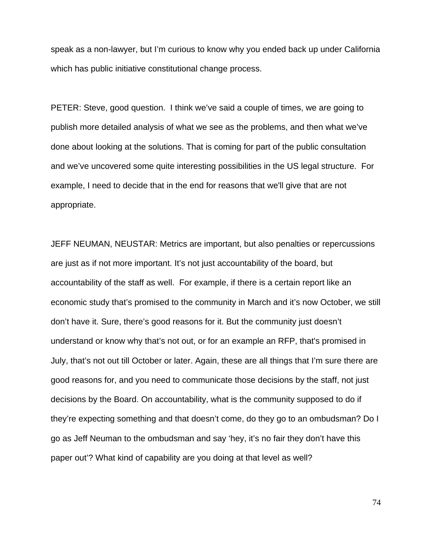speak as a non-lawyer, but I'm curious to know why you ended back up under California which has public initiative constitutional change process.

PETER: Steve, good question. I think we've said a couple of times, we are going to publish more detailed analysis of what we see as the problems, and then what we've done about looking at the solutions. That is coming for part of the public consultation and we've uncovered some quite interesting possibilities in the US legal structure. For example, I need to decide that in the end for reasons that we'll give that are not appropriate.

JEFF NEUMAN, NEUSTAR: Metrics are important, but also penalties or repercussions are just as if not more important. It's not just accountability of the board, but accountability of the staff as well. For example, if there is a certain report like an economic study that's promised to the community in March and it's now October, we still don't have it. Sure, there's good reasons for it. But the community just doesn't understand or know why that's not out, or for an example an RFP, that's promised in July, that's not out till October or later. Again, these are all things that I'm sure there are good reasons for, and you need to communicate those decisions by the staff, not just decisions by the Board. On accountability, what is the community supposed to do if they're expecting something and that doesn't come, do they go to an ombudsman? Do I go as Jeff Neuman to the ombudsman and say 'hey, it's no fair they don't have this paper out'? What kind of capability are you doing at that level as well?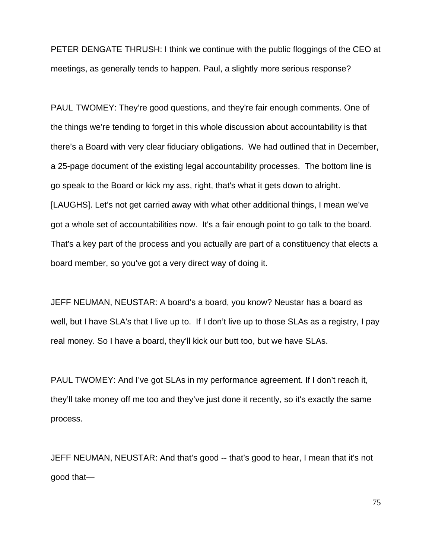PETER DENGATE THRUSH: I think we continue with the public floggings of the CEO at meetings, as generally tends to happen. Paul, a slightly more serious response?

PAUL TWOMEY: They're good questions, and they're fair enough comments. One of the things we're tending to forget in this whole discussion about accountability is that there's a Board with very clear fiduciary obligations. We had outlined that in December, a 25-page document of the existing legal accountability processes. The bottom line is go speak to the Board or kick my ass, right, that's what it gets down to alright. [LAUGHS]. Let's not get carried away with what other additional things, I mean we've got a whole set of accountabilities now. It's a fair enough point to go talk to the board. That's a key part of the process and you actually are part of a constituency that elects a board member, so you've got a very direct way of doing it.

JEFF NEUMAN, NEUSTAR: A board's a board, you know? Neustar has a board as well, but I have SLA's that I live up to. If I don't live up to those SLAs as a registry, I pay real money. So I have a board, they'll kick our butt too, but we have SLAs.

PAUL TWOMEY: And I've got SLAs in my performance agreement. If I don't reach it, they'll take money off me too and they've just done it recently, so it's exactly the same process.

JEFF NEUMAN, NEUSTAR: And that's good -- that's good to hear, I mean that it's not good that—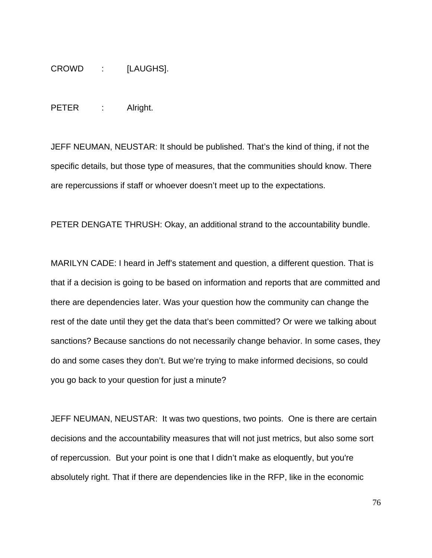CROWD : [LAUGHS].

PETER : Alright.

JEFF NEUMAN, NEUSTAR: It should be published. That's the kind of thing, if not the specific details, but those type of measures, that the communities should know. There are repercussions if staff or whoever doesn't meet up to the expectations.

PETER DENGATE THRUSH: Okay, an additional strand to the accountability bundle.

MARILYN CADE: I heard in Jeff's statement and question, a different question. That is that if a decision is going to be based on information and reports that are committed and there are dependencies later. Was your question how the community can change the rest of the date until they get the data that's been committed? Or were we talking about sanctions? Because sanctions do not necessarily change behavior. In some cases, they do and some cases they don't. But we're trying to make informed decisions, so could you go back to your question for just a minute?

JEFF NEUMAN, NEUSTAR: It was two questions, two points. One is there are certain decisions and the accountability measures that will not just metrics, but also some sort of repercussion. But your point is one that I didn't make as eloquently, but you're absolutely right. That if there are dependencies like in the RFP, like in the economic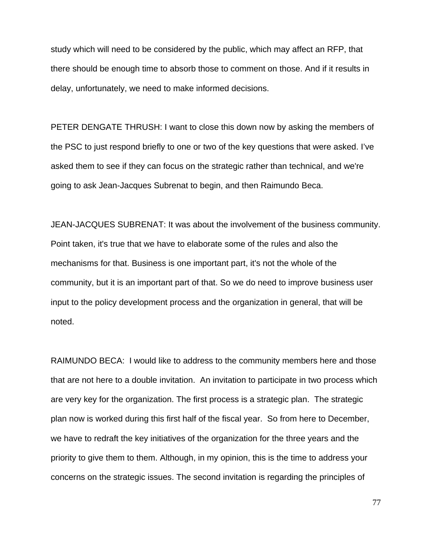study which will need to be considered by the public, which may affect an RFP, that there should be enough time to absorb those to comment on those. And if it results in delay, unfortunately, we need to make informed decisions.

PETER DENGATE THRUSH: I want to close this down now by asking the members of the PSC to just respond briefly to one or two of the key questions that were asked. I've asked them to see if they can focus on the strategic rather than technical, and we're going to ask Jean-Jacques Subrenat to begin, and then Raimundo Beca.

JEAN-JACQUES SUBRENAT: It was about the involvement of the business community. Point taken, it's true that we have to elaborate some of the rules and also the mechanisms for that. Business is one important part, it's not the whole of the community, but it is an important part of that. So we do need to improve business user input to the policy development process and the organization in general, that will be noted.

RAIMUNDO BECA: I would like to address to the community members here and those that are not here to a double invitation. An invitation to participate in two process which are very key for the organization. The first process is a strategic plan. The strategic plan now is worked during this first half of the fiscal year. So from here to December, we have to redraft the key initiatives of the organization for the three years and the priority to give them to them. Although, in my opinion, this is the time to address your concerns on the strategic issues. The second invitation is regarding the principles of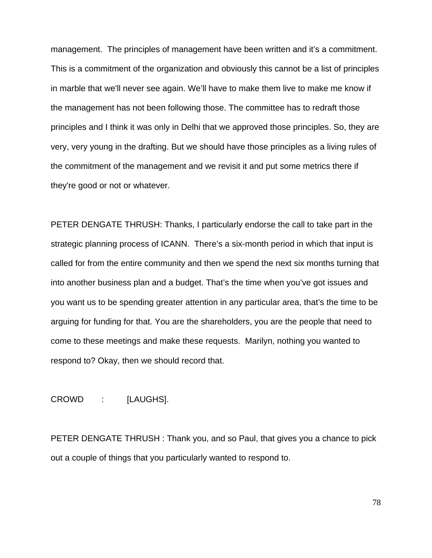management. The principles of management have been written and it's a commitment. This is a commitment of the organization and obviously this cannot be a list of principles in marble that we'll never see again. We'll have to make them live to make me know if the management has not been following those. The committee has to redraft those principles and I think it was only in Delhi that we approved those principles. So, they are very, very young in the drafting. But we should have those principles as a living rules of the commitment of the management and we revisit it and put some metrics there if they're good or not or whatever.

PETER DENGATE THRUSH: Thanks, I particularly endorse the call to take part in the strategic planning process of ICANN. There's a six-month period in which that input is called for from the entire community and then we spend the next six months turning that into another business plan and a budget. That's the time when you've got issues and you want us to be spending greater attention in any particular area, that's the time to be arguing for funding for that. You are the shareholders, you are the people that need to come to these meetings and make these requests. Marilyn, nothing you wanted to respond to? Okay, then we should record that.

## CROWD : [LAUGHS].

PETER DENGATE THRUSH : Thank you, and so Paul, that gives you a chance to pick out a couple of things that you particularly wanted to respond to.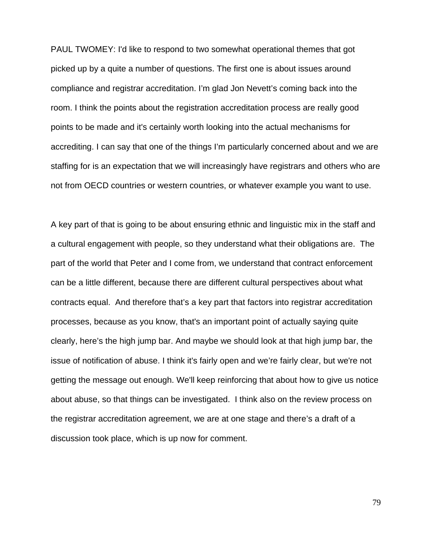PAUL TWOMEY: I'd like to respond to two somewhat operational themes that got picked up by a quite a number of questions. The first one is about issues around compliance and registrar accreditation. I'm glad Jon Nevett's coming back into the room. I think the points about the registration accreditation process are really good points to be made and it's certainly worth looking into the actual mechanisms for accrediting. I can say that one of the things I'm particularly concerned about and we are staffing for is an expectation that we will increasingly have registrars and others who are not from OECD countries or western countries, or whatever example you want to use.

A key part of that is going to be about ensuring ethnic and linguistic mix in the staff and a cultural engagement with people, so they understand what their obligations are. The part of the world that Peter and I come from, we understand that contract enforcement can be a little different, because there are different cultural perspectives about what contracts equal. And therefore that's a key part that factors into registrar accreditation processes, because as you know, that's an important point of actually saying quite clearly, here's the high jump bar. And maybe we should look at that high jump bar, the issue of notification of abuse. I think it's fairly open and we're fairly clear, but we're not getting the message out enough. We'll keep reinforcing that about how to give us notice about abuse, so that things can be investigated. I think also on the review process on the registrar accreditation agreement, we are at one stage and there's a draft of a discussion took place, which is up now for comment.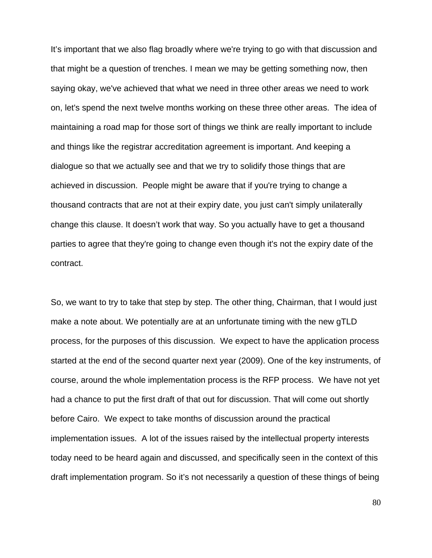It's important that we also flag broadly where we're trying to go with that discussion and that might be a question of trenches. I mean we may be getting something now, then saying okay, we've achieved that what we need in three other areas we need to work on, let's spend the next twelve months working on these three other areas. The idea of maintaining a road map for those sort of things we think are really important to include and things like the registrar accreditation agreement is important. And keeping a dialogue so that we actually see and that we try to solidify those things that are achieved in discussion. People might be aware that if you're trying to change a thousand contracts that are not at their expiry date, you just can't simply unilaterally change this clause. It doesn't work that way. So you actually have to get a thousand parties to agree that they're going to change even though it's not the expiry date of the contract.

So, we want to try to take that step by step. The other thing, Chairman, that I would just make a note about. We potentially are at an unfortunate timing with the new gTLD process, for the purposes of this discussion. We expect to have the application process started at the end of the second quarter next year (2009). One of the key instruments, of course, around the whole implementation process is the RFP process. We have not yet had a chance to put the first draft of that out for discussion. That will come out shortly before Cairo. We expect to take months of discussion around the practical implementation issues. A lot of the issues raised by the intellectual property interests today need to be heard again and discussed, and specifically seen in the context of this draft implementation program. So it's not necessarily a question of these things of being